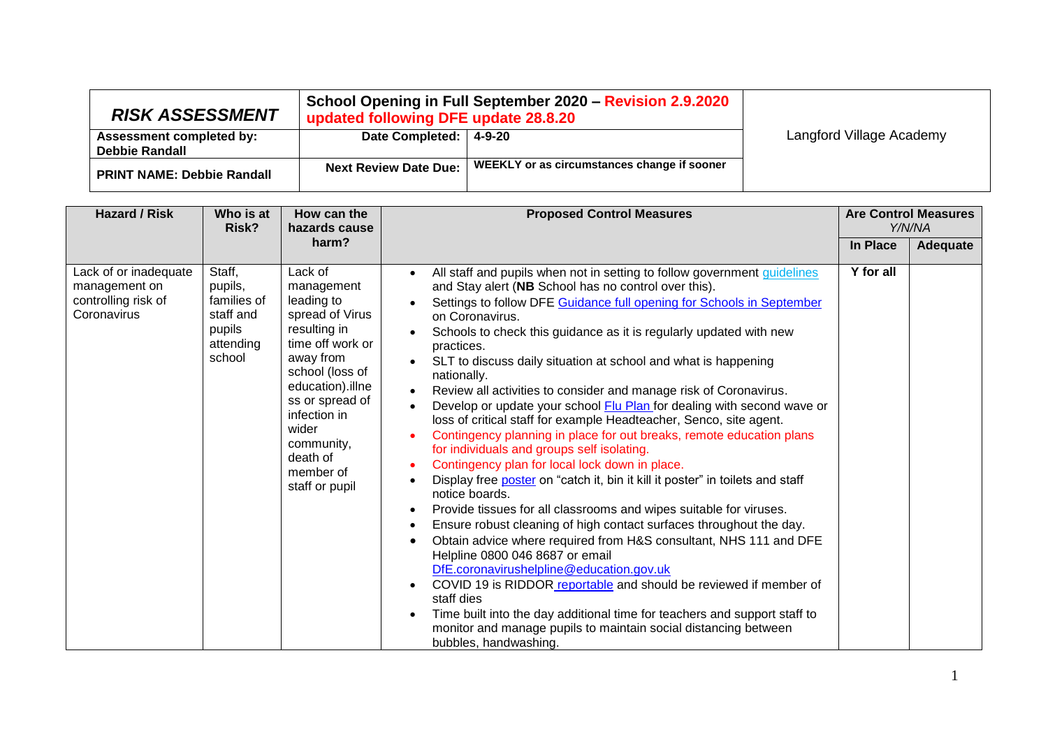| <b>RISK ASSESSMENT</b>                            | updated following DFE update 28.8.20 | School Opening in Full September 2020 - Revision 2.9.2020 |                          |
|---------------------------------------------------|--------------------------------------|-----------------------------------------------------------|--------------------------|
| <b>Assessment completed by:</b><br>Debbie Randall | Date Completed:   4-9-20             |                                                           | Langford Village Academy |
| <b>PRINT NAME: Debbie Randall</b>                 | <b>Next Review Date Due:</b>         | WEEKLY or as circumstances change if sooner               |                          |

| <b>Hazard / Risk</b>                                                         | Who is at<br>Risk?                                                             | How can the<br>hazards cause                                                                                                                                                                                                                        | <b>Proposed Control Measures</b>                                                                                                                                                                                                                                                                                                                                                                                                                                                                                                                                                                                                                                                                                                                                                                                                                                                                                                                                                                                                                                                                                                                                                                                                                                                                                                                                                                                                                               | <b>Are Control Measures</b> | Y/N/NA          |
|------------------------------------------------------------------------------|--------------------------------------------------------------------------------|-----------------------------------------------------------------------------------------------------------------------------------------------------------------------------------------------------------------------------------------------------|----------------------------------------------------------------------------------------------------------------------------------------------------------------------------------------------------------------------------------------------------------------------------------------------------------------------------------------------------------------------------------------------------------------------------------------------------------------------------------------------------------------------------------------------------------------------------------------------------------------------------------------------------------------------------------------------------------------------------------------------------------------------------------------------------------------------------------------------------------------------------------------------------------------------------------------------------------------------------------------------------------------------------------------------------------------------------------------------------------------------------------------------------------------------------------------------------------------------------------------------------------------------------------------------------------------------------------------------------------------------------------------------------------------------------------------------------------------|-----------------------------|-----------------|
|                                                                              |                                                                                | harm?                                                                                                                                                                                                                                               |                                                                                                                                                                                                                                                                                                                                                                                                                                                                                                                                                                                                                                                                                                                                                                                                                                                                                                                                                                                                                                                                                                                                                                                                                                                                                                                                                                                                                                                                | In Place                    | <b>Adequate</b> |
| Lack of or inadequate<br>management on<br>controlling risk of<br>Coronavirus | Staff,<br>pupils,<br>families of<br>staff and<br>pupils<br>attending<br>school | Lack of<br>management<br>leading to<br>spread of Virus<br>resulting in<br>time off work or<br>away from<br>school (loss of<br>education).illne<br>ss or spread of<br>infection in<br>wider<br>community,<br>death of<br>member of<br>staff or pupil | All staff and pupils when not in setting to follow government guidelines<br>and Stay alert (NB School has no control over this).<br>Settings to follow DFE Guidance full opening for Schools in September<br>on Coronavirus.<br>Schools to check this guidance as it is regularly updated with new<br>practices.<br>SLT to discuss daily situation at school and what is happening<br>nationally.<br>Review all activities to consider and manage risk of Coronavirus.<br>Develop or update your school Flu Plan for dealing with second wave or<br>loss of critical staff for example Headteacher, Senco, site agent.<br>Contingency planning in place for out breaks, remote education plans<br>for individuals and groups self isolating.<br>Contingency plan for local lock down in place.<br>Display free poster on "catch it, bin it kill it poster" in toilets and staff<br>notice boards.<br>Provide tissues for all classrooms and wipes suitable for viruses.<br>Ensure robust cleaning of high contact surfaces throughout the day.<br>Obtain advice where required from H&S consultant, NHS 111 and DFE<br>Helpline 0800 046 8687 or email<br>DfE.coronavirushelpline@education.gov.uk<br>COVID 19 is RIDDOR reportable and should be reviewed if member of<br>staff dies<br>Time built into the day additional time for teachers and support staff to<br>monitor and manage pupils to maintain social distancing between<br>bubbles, handwashing. | Y for all                   |                 |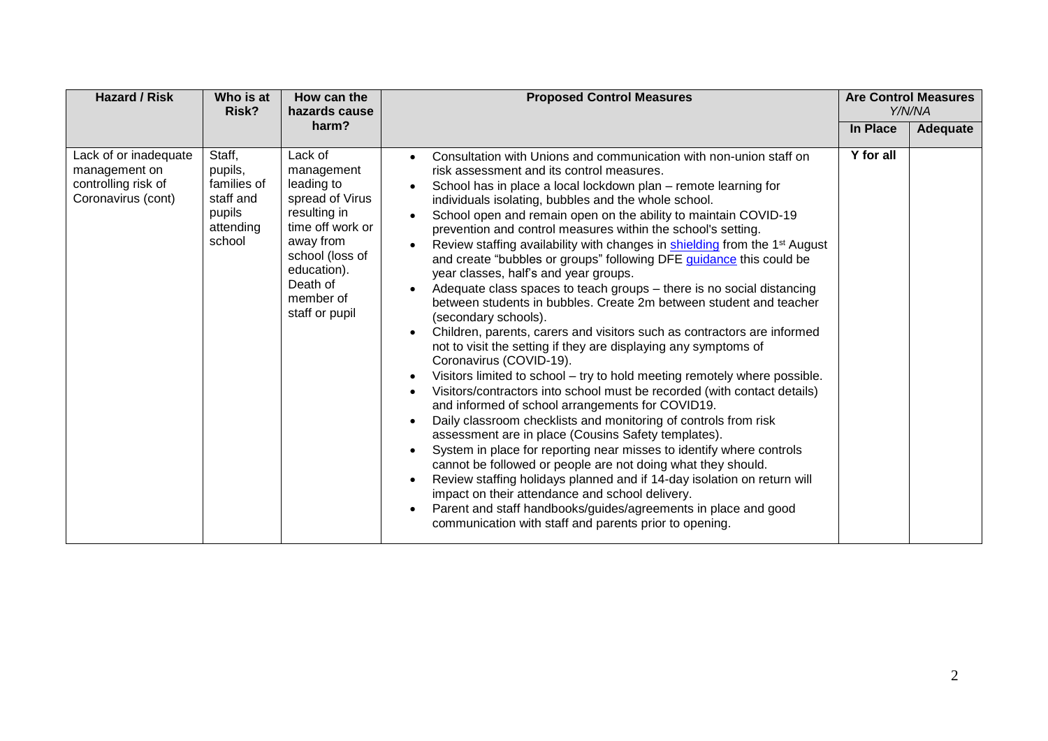| <b>Hazard / Risk</b>                                                                | Who is at<br>Risk?                                                             | How can the<br>hazards cause                                                                                                                                                         | <b>Proposed Control Measures</b>                                                                                                                                                                                                                                                                                                                                                                                                                                                                                                                                                                                                                                                                                                                                                                                                                                                                                                                                                                                                                                                                                                                                                                                                                                                                                                                                                                                                                                                                                                                                                                                                                                                              |           | <b>Are Control Measures</b><br>Y/N/NA |
|-------------------------------------------------------------------------------------|--------------------------------------------------------------------------------|--------------------------------------------------------------------------------------------------------------------------------------------------------------------------------------|-----------------------------------------------------------------------------------------------------------------------------------------------------------------------------------------------------------------------------------------------------------------------------------------------------------------------------------------------------------------------------------------------------------------------------------------------------------------------------------------------------------------------------------------------------------------------------------------------------------------------------------------------------------------------------------------------------------------------------------------------------------------------------------------------------------------------------------------------------------------------------------------------------------------------------------------------------------------------------------------------------------------------------------------------------------------------------------------------------------------------------------------------------------------------------------------------------------------------------------------------------------------------------------------------------------------------------------------------------------------------------------------------------------------------------------------------------------------------------------------------------------------------------------------------------------------------------------------------------------------------------------------------------------------------------------------------|-----------|---------------------------------------|
|                                                                                     |                                                                                | harm?                                                                                                                                                                                |                                                                                                                                                                                                                                                                                                                                                                                                                                                                                                                                                                                                                                                                                                                                                                                                                                                                                                                                                                                                                                                                                                                                                                                                                                                                                                                                                                                                                                                                                                                                                                                                                                                                                               | In Place  | Adequate                              |
| Lack of or inadequate<br>management on<br>controlling risk of<br>Coronavirus (cont) | Staff,<br>pupils,<br>families of<br>staff and<br>pupils<br>attending<br>school | Lack of<br>management<br>leading to<br>spread of Virus<br>resulting in<br>time off work or<br>away from<br>school (loss of<br>education).<br>Death of<br>member of<br>staff or pupil | Consultation with Unions and communication with non-union staff on<br>risk assessment and its control measures.<br>School has in place a local lockdown plan – remote learning for<br>individuals isolating, bubbles and the whole school.<br>School open and remain open on the ability to maintain COVID-19<br>prevention and control measures within the school's setting.<br>Review staffing availability with changes in shielding from the 1 <sup>st</sup> August<br>and create "bubbles or groups" following DFE guidance this could be<br>year classes, half's and year groups.<br>Adequate class spaces to teach groups - there is no social distancing<br>between students in bubbles. Create 2m between student and teacher<br>(secondary schools).<br>Children, parents, carers and visitors such as contractors are informed<br>not to visit the setting if they are displaying any symptoms of<br>Coronavirus (COVID-19).<br>Visitors limited to school - try to hold meeting remotely where possible.<br>$\bullet$<br>Visitors/contractors into school must be recorded (with contact details)<br>and informed of school arrangements for COVID19.<br>Daily classroom checklists and monitoring of controls from risk<br>assessment are in place (Cousins Safety templates).<br>System in place for reporting near misses to identify where controls<br>cannot be followed or people are not doing what they should.<br>Review staffing holidays planned and if 14-day isolation on return will<br>impact on their attendance and school delivery.<br>Parent and staff handbooks/guides/agreements in place and good<br>communication with staff and parents prior to opening. | Y for all |                                       |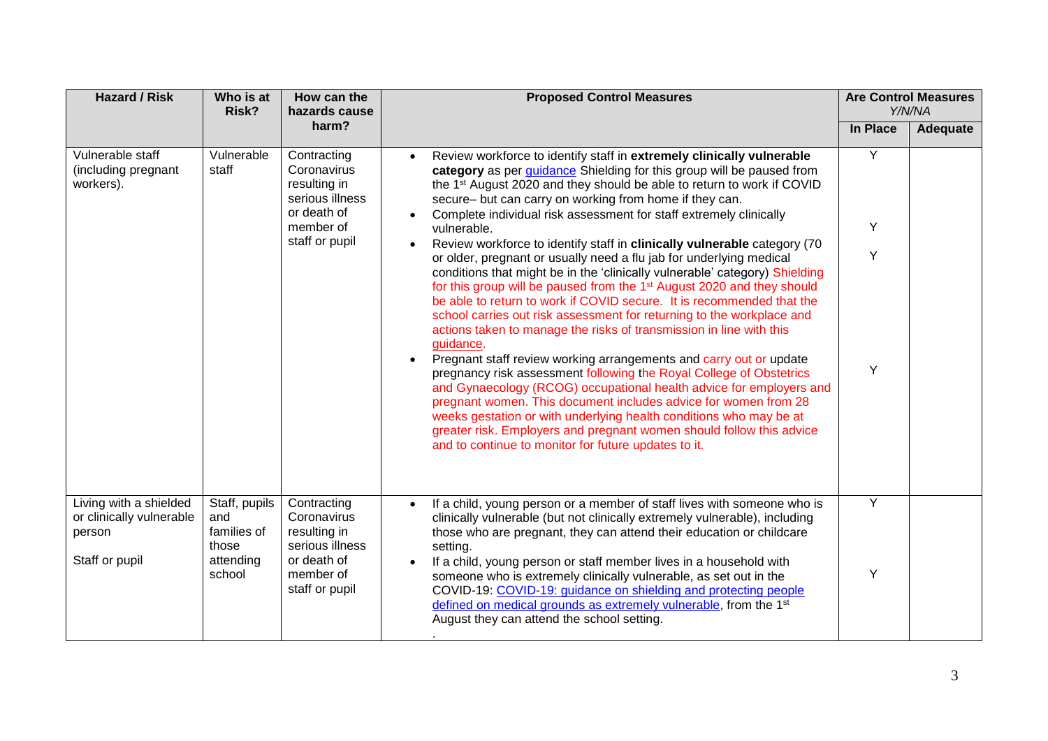| <b>Hazard / Risk</b>                                                           | Who is at<br>Risk?                                                  | How can the<br>hazards cause                                                                                | <b>Proposed Control Measures</b>                                                                                                                                                                                                                                                                                                                                                                                                                                                                                                                                                                                                                                                                                                                                                                                                                                                                                                                                                                                                                                                  |          | <b>Are Control Measures</b><br>Y/N/NA |
|--------------------------------------------------------------------------------|---------------------------------------------------------------------|-------------------------------------------------------------------------------------------------------------|-----------------------------------------------------------------------------------------------------------------------------------------------------------------------------------------------------------------------------------------------------------------------------------------------------------------------------------------------------------------------------------------------------------------------------------------------------------------------------------------------------------------------------------------------------------------------------------------------------------------------------------------------------------------------------------------------------------------------------------------------------------------------------------------------------------------------------------------------------------------------------------------------------------------------------------------------------------------------------------------------------------------------------------------------------------------------------------|----------|---------------------------------------|
|                                                                                |                                                                     | harm?                                                                                                       |                                                                                                                                                                                                                                                                                                                                                                                                                                                                                                                                                                                                                                                                                                                                                                                                                                                                                                                                                                                                                                                                                   | In Place | Adequate                              |
| Vulnerable staff<br>(including pregnant<br>workers).                           | Vulnerable<br>staff                                                 | Contracting<br>Coronavirus<br>resulting in<br>serious illness<br>or death of                                | Review workforce to identify staff in extremely clinically vulnerable<br>$\bullet$<br>category as per <i>guidance</i> Shielding for this group will be paused from<br>the 1 <sup>st</sup> August 2020 and they should be able to return to work if COVID<br>secure- but can carry on working from home if they can.<br>Complete individual risk assessment for staff extremely clinically                                                                                                                                                                                                                                                                                                                                                                                                                                                                                                                                                                                                                                                                                         | Y        |                                       |
|                                                                                |                                                                     | member of<br>staff or pupil                                                                                 | vulnerable.                                                                                                                                                                                                                                                                                                                                                                                                                                                                                                                                                                                                                                                                                                                                                                                                                                                                                                                                                                                                                                                                       | Y        |                                       |
|                                                                                |                                                                     |                                                                                                             | Review workforce to identify staff in clinically vulnerable category (70<br>$\bullet$<br>or older, pregnant or usually need a flu jab for underlying medical<br>conditions that might be in the 'clinically vulnerable' category) Shielding<br>for this group will be paused from the 1 <sup>st</sup> August 2020 and they should<br>be able to return to work if COVID secure. It is recommended that the<br>school carries out risk assessment for returning to the workplace and<br>actions taken to manage the risks of transmission in line with this<br>guidance.<br>Pregnant staff review working arrangements and carry out or update<br>$\bullet$<br>pregnancy risk assessment following the Royal College of Obstetrics<br>and Gynaecology (RCOG) occupational health advice for employers and<br>pregnant women. This document includes advice for women from 28<br>weeks gestation or with underlying health conditions who may be at<br>greater risk. Employers and pregnant women should follow this advice<br>and to continue to monitor for future updates to it. | Y<br>Y   |                                       |
| Living with a shielded<br>or clinically vulnerable<br>person<br>Staff or pupil | Staff, pupils<br>and<br>families of<br>those<br>attending<br>school | Contracting<br>Coronavirus<br>resulting in<br>serious illness<br>or death of<br>member of<br>staff or pupil | If a child, young person or a member of staff lives with someone who is<br>$\bullet$<br>clinically vulnerable (but not clinically extremely vulnerable), including<br>those who are pregnant, they can attend their education or childcare<br>setting.<br>If a child, young person or staff member lives in a household with<br>$\bullet$<br>someone who is extremely clinically vulnerable, as set out in the<br>COVID-19: COVID-19: guidance on shielding and protecting people<br>defined on medical grounds as extremely vulnerable, from the 1 <sup>st</sup><br>August they can attend the school setting.                                                                                                                                                                                                                                                                                                                                                                                                                                                                   | Y<br>Y   |                                       |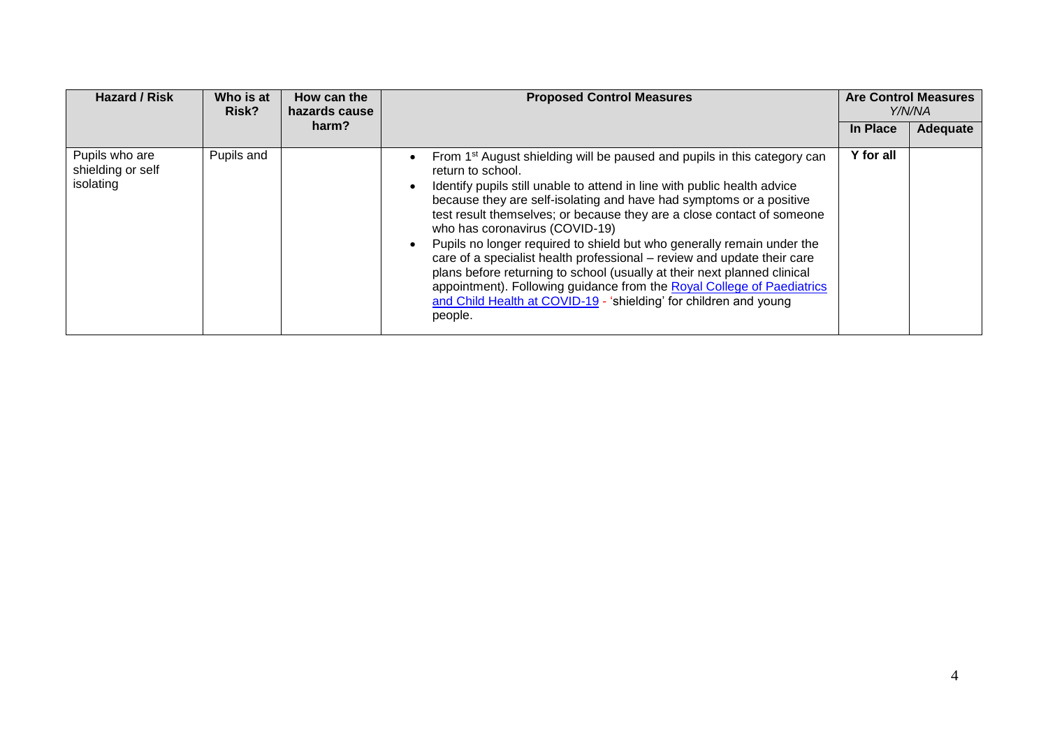| <b>Hazard / Risk</b>                             | Who is at<br>Risk? | How can the<br>hazards cause | <b>Proposed Control Measures</b>                                                                                                                                                                                                                                                                                                                                                                                                                                                                                                                                                                                                                                                                                                                                    | <b>Are Control Measures</b><br>Y/N/NA |          |
|--------------------------------------------------|--------------------|------------------------------|---------------------------------------------------------------------------------------------------------------------------------------------------------------------------------------------------------------------------------------------------------------------------------------------------------------------------------------------------------------------------------------------------------------------------------------------------------------------------------------------------------------------------------------------------------------------------------------------------------------------------------------------------------------------------------------------------------------------------------------------------------------------|---------------------------------------|----------|
|                                                  |                    | harm?                        |                                                                                                                                                                                                                                                                                                                                                                                                                                                                                                                                                                                                                                                                                                                                                                     | In Place                              | Adequate |
| Pupils who are<br>shielding or self<br>isolating | Pupils and         |                              | From 1 <sup>st</sup> August shielding will be paused and pupils in this category can<br>return to school.<br>Identify pupils still unable to attend in line with public health advice<br>because they are self-isolating and have had symptoms or a positive<br>test result themselves; or because they are a close contact of someone<br>who has coronavirus (COVID-19)<br>Pupils no longer required to shield but who generally remain under the<br>care of a specialist health professional – review and update their care<br>plans before returning to school (usually at their next planned clinical<br>appointment). Following guidance from the Royal College of Paediatrics<br>and Child Health at COVID-19 - 'shielding' for children and young<br>people. | Y for all                             |          |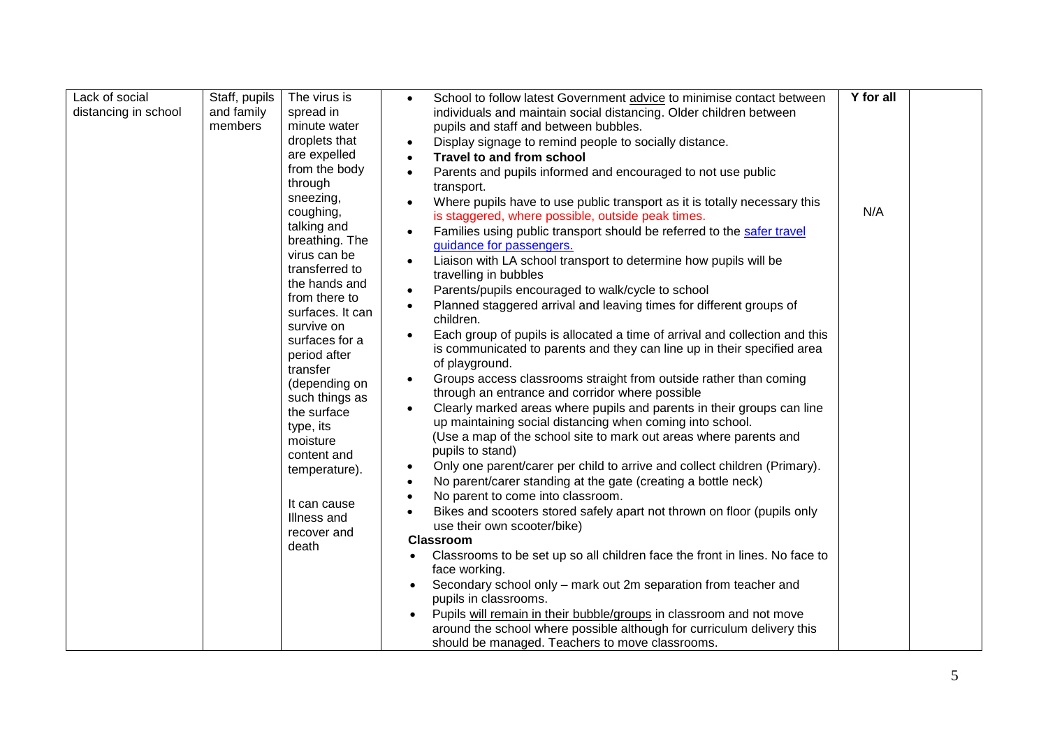| Y for all<br>Lack of social<br>Staff, pupils<br>The virus is<br>School to follow latest Government advice to minimise contact between |  |
|---------------------------------------------------------------------------------------------------------------------------------------|--|
| and family<br>distancing in school<br>spread in<br>individuals and maintain social distancing. Older children between                 |  |
| members<br>minute water<br>pupils and staff and between bubbles.                                                                      |  |
| droplets that<br>Display signage to remind people to socially distance.<br>$\bullet$                                                  |  |
| are expelled<br>Travel to and from school                                                                                             |  |
| from the body<br>Parents and pupils informed and encouraged to not use public<br>$\bullet$                                            |  |
| through<br>transport.                                                                                                                 |  |
| sneezing,<br>Where pupils have to use public transport as it is totally necessary this                                                |  |
| coughing,<br>N/A<br>is staggered, where possible, outside peak times.                                                                 |  |
| talking and<br>Families using public transport should be referred to the safer travel<br>breathing. The                               |  |
| guidance for passengers.<br>virus can be                                                                                              |  |
| Liaison with LA school transport to determine how pupils will be<br>transferred to                                                    |  |
| travelling in bubbles<br>the hands and                                                                                                |  |
| Parents/pupils encouraged to walk/cycle to school<br>$\bullet$<br>from there to                                                       |  |
| Planned staggered arrival and leaving times for different groups of<br>surfaces. It can<br>children.                                  |  |
| survive on<br>Each group of pupils is allocated a time of arrival and collection and this                                             |  |
| surfaces for a<br>is communicated to parents and they can line up in their specified area<br>period after                             |  |
| of playground.<br>transfer                                                                                                            |  |
| Groups access classrooms straight from outside rather than coming<br>(depending on                                                    |  |
| through an entrance and corridor where possible<br>such things as                                                                     |  |
| Clearly marked areas where pupils and parents in their groups can line<br>the surface                                                 |  |
| up maintaining social distancing when coming into school.<br>type, its                                                                |  |
| (Use a map of the school site to mark out areas where parents and<br>moisture                                                         |  |
| pupils to stand)<br>content and                                                                                                       |  |
| Only one parent/carer per child to arrive and collect children (Primary).<br>$\bullet$<br>temperature).                               |  |
| No parent/carer standing at the gate (creating a bottle neck)                                                                         |  |
| No parent to come into classroom.<br>It can cause                                                                                     |  |
| Bikes and scooters stored safely apart not thrown on floor (pupils only<br>Illness and                                                |  |
| use their own scooter/bike)<br>recover and                                                                                            |  |
| <b>Classroom</b><br>death                                                                                                             |  |
| Classrooms to be set up so all children face the front in lines. No face to                                                           |  |
| face working.                                                                                                                         |  |
| Secondary school only – mark out 2m separation from teacher and<br>pupils in classrooms.                                              |  |
| Pupils will remain in their bubble/groups in classroom and not move                                                                   |  |
| around the school where possible although for curriculum delivery this                                                                |  |
| should be managed. Teachers to move classrooms.                                                                                       |  |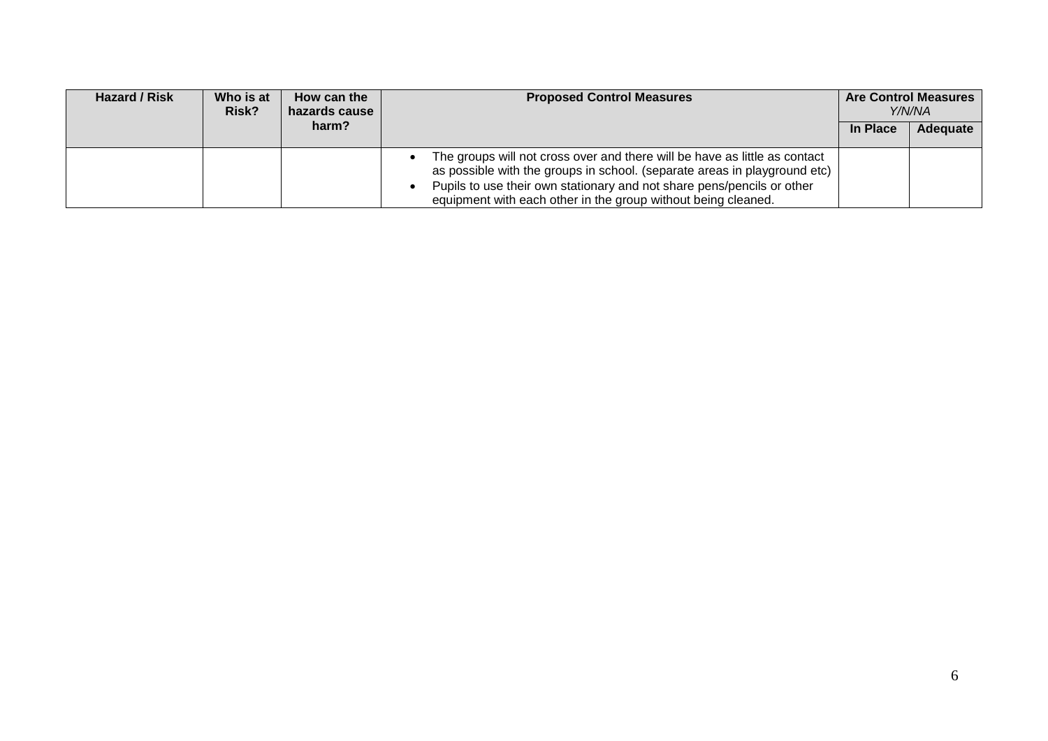| Hazard / Risk | Who is at<br>Risk? | How can the<br>hazards cause | <b>Proposed Control Measures</b>                                                                                                                                                                                                                                                                   | <b>Are Control Measures</b><br>Y/N/NA |          |
|---------------|--------------------|------------------------------|----------------------------------------------------------------------------------------------------------------------------------------------------------------------------------------------------------------------------------------------------------------------------------------------------|---------------------------------------|----------|
|               |                    | harm?                        |                                                                                                                                                                                                                                                                                                    | In Place                              | Adequate |
|               |                    |                              | The groups will not cross over and there will be have as little as contact<br>as possible with the groups in school. (separate areas in playground etc)<br>Pupils to use their own stationary and not share pens/pencils or other<br>equipment with each other in the group without being cleaned. |                                       |          |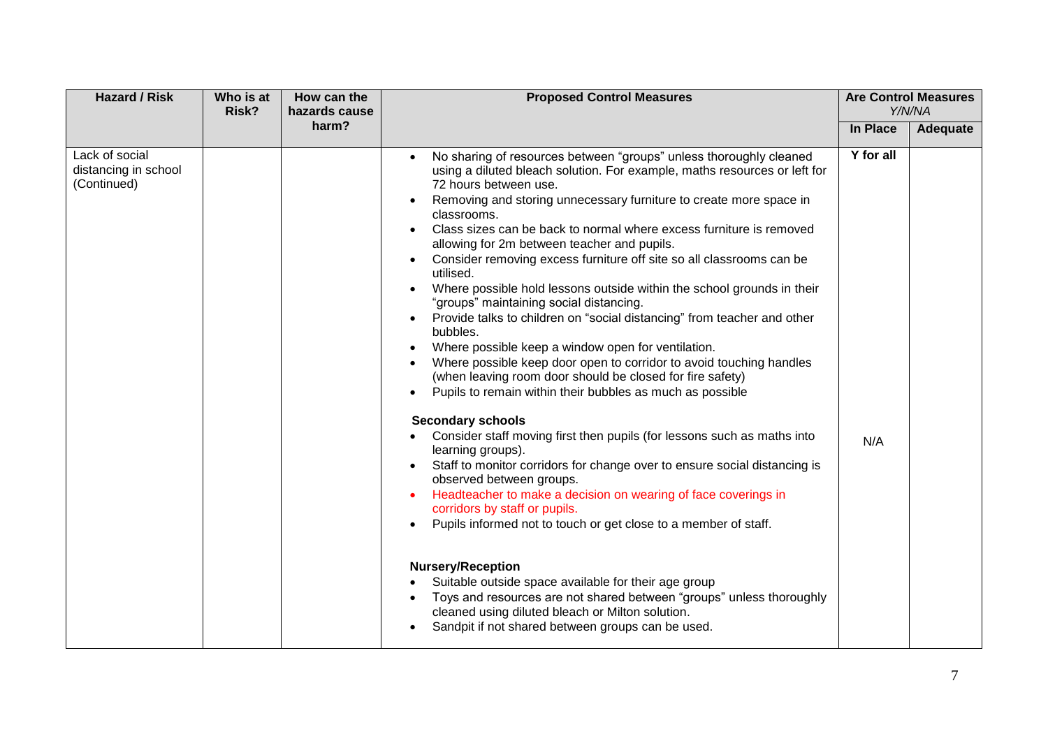| <b>Hazard / Risk</b>                                  | Who is at<br>Risk? | How can the<br>hazards cause | <b>Proposed Control Measures</b>                                                                                                                                                                                                                                                                                                                                                                                                                                                                                                                                                                                                                                                                                                                                                                                                                                                                                                                                                                                                                                                                                                                                                                                                                                                                                                                                                                                                                                                                                                                                                                                            | <b>Are Control Measures</b><br>Y/N/NA |          |
|-------------------------------------------------------|--------------------|------------------------------|-----------------------------------------------------------------------------------------------------------------------------------------------------------------------------------------------------------------------------------------------------------------------------------------------------------------------------------------------------------------------------------------------------------------------------------------------------------------------------------------------------------------------------------------------------------------------------------------------------------------------------------------------------------------------------------------------------------------------------------------------------------------------------------------------------------------------------------------------------------------------------------------------------------------------------------------------------------------------------------------------------------------------------------------------------------------------------------------------------------------------------------------------------------------------------------------------------------------------------------------------------------------------------------------------------------------------------------------------------------------------------------------------------------------------------------------------------------------------------------------------------------------------------------------------------------------------------------------------------------------------------|---------------------------------------|----------|
|                                                       |                    | harm?                        |                                                                                                                                                                                                                                                                                                                                                                                                                                                                                                                                                                                                                                                                                                                                                                                                                                                                                                                                                                                                                                                                                                                                                                                                                                                                                                                                                                                                                                                                                                                                                                                                                             | In Place                              | Adequate |
| Lack of social<br>distancing in school<br>(Continued) |                    |                              | No sharing of resources between "groups" unless thoroughly cleaned<br>using a diluted bleach solution. For example, maths resources or left for<br>72 hours between use.<br>Removing and storing unnecessary furniture to create more space in<br>classrooms.<br>Class sizes can be back to normal where excess furniture is removed<br>allowing for 2m between teacher and pupils.<br>Consider removing excess furniture off site so all classrooms can be<br>utilised.<br>Where possible hold lessons outside within the school grounds in their<br>"groups" maintaining social distancing.<br>Provide talks to children on "social distancing" from teacher and other<br>bubbles.<br>Where possible keep a window open for ventilation.<br>Where possible keep door open to corridor to avoid touching handles<br>(when leaving room door should be closed for fire safety)<br>Pupils to remain within their bubbles as much as possible<br><b>Secondary schools</b><br>Consider staff moving first then pupils (for lessons such as maths into<br>learning groups).<br>Staff to monitor corridors for change over to ensure social distancing is<br>observed between groups.<br>Headteacher to make a decision on wearing of face coverings in<br>corridors by staff or pupils.<br>Pupils informed not to touch or get close to a member of staff.<br><b>Nursery/Reception</b><br>Suitable outside space available for their age group<br>Toys and resources are not shared between "groups" unless thoroughly<br>cleaned using diluted bleach or Milton solution.<br>Sandpit if not shared between groups can be used. | Y for all<br>N/A                      |          |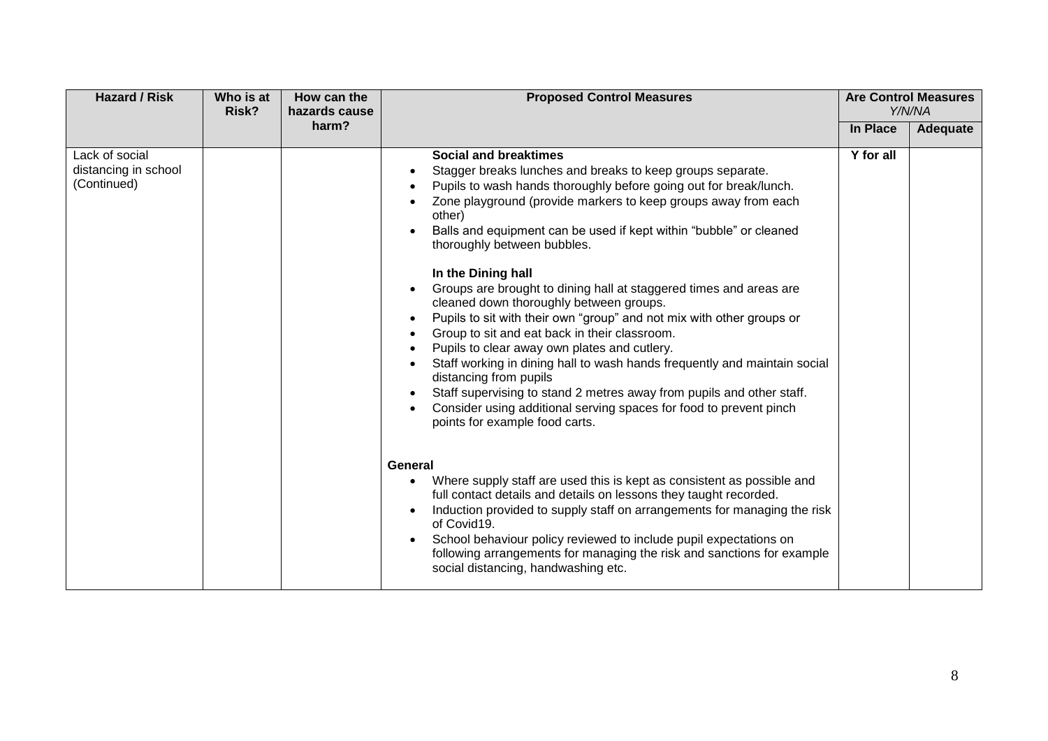| <b>Hazard / Risk</b>                                  | Who is at<br>Risk? | How can the<br>hazards cause | <b>Proposed Control Measures</b>                                                                                                                                                                                                                                                                                                                                                                                                                                                                                                                                                                                                                                                                                                                                                                                                                                                                                                                                                                                                                                                                                                                                                                                                                                                                                                                                                                                                                                   | <b>Are Control Measures</b><br>Y/N/NA |          |
|-------------------------------------------------------|--------------------|------------------------------|--------------------------------------------------------------------------------------------------------------------------------------------------------------------------------------------------------------------------------------------------------------------------------------------------------------------------------------------------------------------------------------------------------------------------------------------------------------------------------------------------------------------------------------------------------------------------------------------------------------------------------------------------------------------------------------------------------------------------------------------------------------------------------------------------------------------------------------------------------------------------------------------------------------------------------------------------------------------------------------------------------------------------------------------------------------------------------------------------------------------------------------------------------------------------------------------------------------------------------------------------------------------------------------------------------------------------------------------------------------------------------------------------------------------------------------------------------------------|---------------------------------------|----------|
|                                                       |                    | harm?                        |                                                                                                                                                                                                                                                                                                                                                                                                                                                                                                                                                                                                                                                                                                                                                                                                                                                                                                                                                                                                                                                                                                                                                                                                                                                                                                                                                                                                                                                                    | In Place                              | Adequate |
| Lack of social<br>distancing in school<br>(Continued) |                    |                              | <b>Social and breaktimes</b><br>Stagger breaks lunches and breaks to keep groups separate.<br>٠<br>Pupils to wash hands thoroughly before going out for break/lunch.<br>Zone playground (provide markers to keep groups away from each<br>other)<br>Balls and equipment can be used if kept within "bubble" or cleaned<br>thoroughly between bubbles.<br>In the Dining hall<br>Groups are brought to dining hall at staggered times and areas are<br>cleaned down thoroughly between groups.<br>Pupils to sit with their own "group" and not mix with other groups or<br>٠<br>Group to sit and eat back in their classroom.<br>Pupils to clear away own plates and cutlery.<br>Staff working in dining hall to wash hands frequently and maintain social<br>distancing from pupils<br>Staff supervising to stand 2 metres away from pupils and other staff.<br>$\bullet$<br>Consider using additional serving spaces for food to prevent pinch<br>$\bullet$<br>points for example food carts.<br>General<br>Where supply staff are used this is kept as consistent as possible and<br>$\bullet$<br>full contact details and details on lessons they taught recorded.<br>Induction provided to supply staff on arrangements for managing the risk<br>of Covid19.<br>School behaviour policy reviewed to include pupil expectations on<br>$\bullet$<br>following arrangements for managing the risk and sanctions for example<br>social distancing, handwashing etc. | Y for all                             |          |
|                                                       |                    |                              |                                                                                                                                                                                                                                                                                                                                                                                                                                                                                                                                                                                                                                                                                                                                                                                                                                                                                                                                                                                                                                                                                                                                                                                                                                                                                                                                                                                                                                                                    |                                       |          |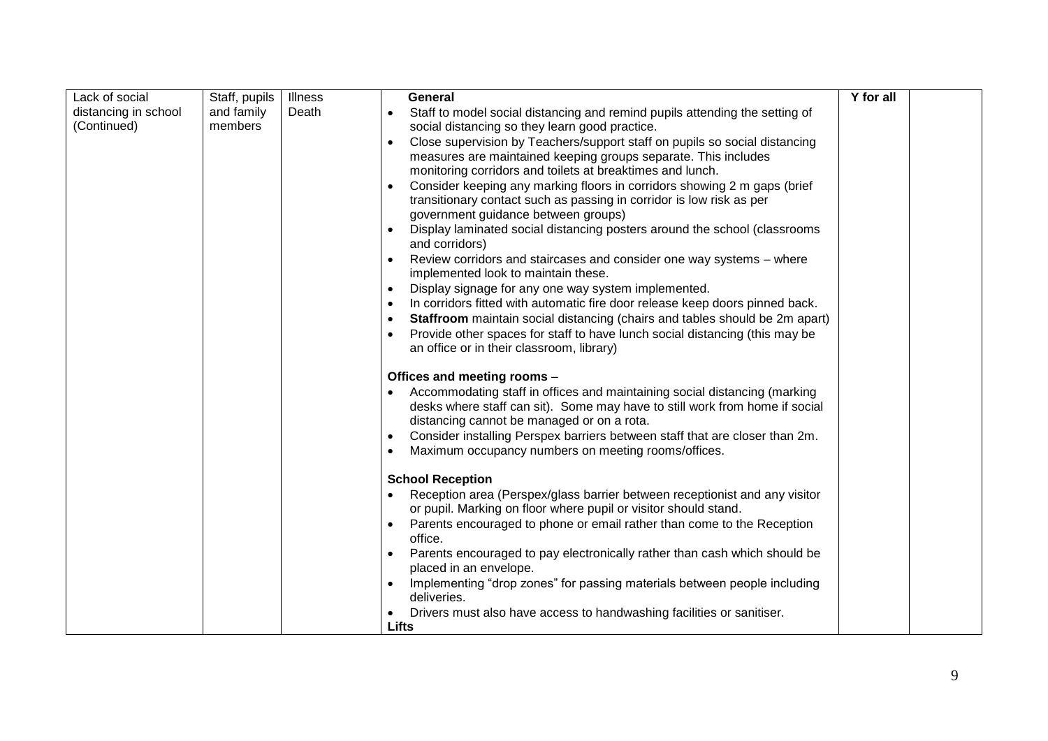| Lack of social       | Staff, pupils | <b>Illness</b> | General                                                                                                                  | Y for all |  |
|----------------------|---------------|----------------|--------------------------------------------------------------------------------------------------------------------------|-----------|--|
| distancing in school | and family    | Death          | Staff to model social distancing and remind pupils attending the setting of<br>$\bullet$                                 |           |  |
| (Continued)          | members       |                | social distancing so they learn good practice.                                                                           |           |  |
|                      |               |                | Close supervision by Teachers/support staff on pupils so social distancing<br>$\bullet$                                  |           |  |
|                      |               |                | measures are maintained keeping groups separate. This includes                                                           |           |  |
|                      |               |                | monitoring corridors and toilets at breaktimes and lunch.                                                                |           |  |
|                      |               |                | Consider keeping any marking floors in corridors showing 2 m gaps (brief<br>$\bullet$                                    |           |  |
|                      |               |                | transitionary contact such as passing in corridor is low risk as per                                                     |           |  |
|                      |               |                | government guidance between groups)                                                                                      |           |  |
|                      |               |                | Display laminated social distancing posters around the school (classrooms<br>and corridors)                              |           |  |
|                      |               |                | Review corridors and staircases and consider one way systems - where<br>$\bullet$<br>implemented look to maintain these. |           |  |
|                      |               |                | Display signage for any one way system implemented.<br>$\bullet$                                                         |           |  |
|                      |               |                | In corridors fitted with automatic fire door release keep doors pinned back.                                             |           |  |
|                      |               |                | Staffroom maintain social distancing (chairs and tables should be 2m apart)                                              |           |  |
|                      |               |                | Provide other spaces for staff to have lunch social distancing (this may be                                              |           |  |
|                      |               |                | an office or in their classroom, library)                                                                                |           |  |
|                      |               |                |                                                                                                                          |           |  |
|                      |               |                | Offices and meeting rooms -                                                                                              |           |  |
|                      |               |                | Accommodating staff in offices and maintaining social distancing (marking                                                |           |  |
|                      |               |                | desks where staff can sit). Some may have to still work from home if social                                              |           |  |
|                      |               |                | distancing cannot be managed or on a rota.                                                                               |           |  |
|                      |               |                | Consider installing Perspex barriers between staff that are closer than 2m.                                              |           |  |
|                      |               |                | Maximum occupancy numbers on meeting rooms/offices.                                                                      |           |  |
|                      |               |                | <b>School Reception</b>                                                                                                  |           |  |
|                      |               |                | Reception area (Perspex/glass barrier between receptionist and any visitor                                               |           |  |
|                      |               |                | or pupil. Marking on floor where pupil or visitor should stand.                                                          |           |  |
|                      |               |                | Parents encouraged to phone or email rather than come to the Reception                                                   |           |  |
|                      |               |                | office.                                                                                                                  |           |  |
|                      |               |                | Parents encouraged to pay electronically rather than cash which should be                                                |           |  |
|                      |               |                | placed in an envelope.                                                                                                   |           |  |
|                      |               |                | Implementing "drop zones" for passing materials between people including<br>deliveries.                                  |           |  |
|                      |               |                | Drivers must also have access to handwashing facilities or sanitiser.                                                    |           |  |
|                      |               |                | Lifts                                                                                                                    |           |  |
|                      |               |                |                                                                                                                          |           |  |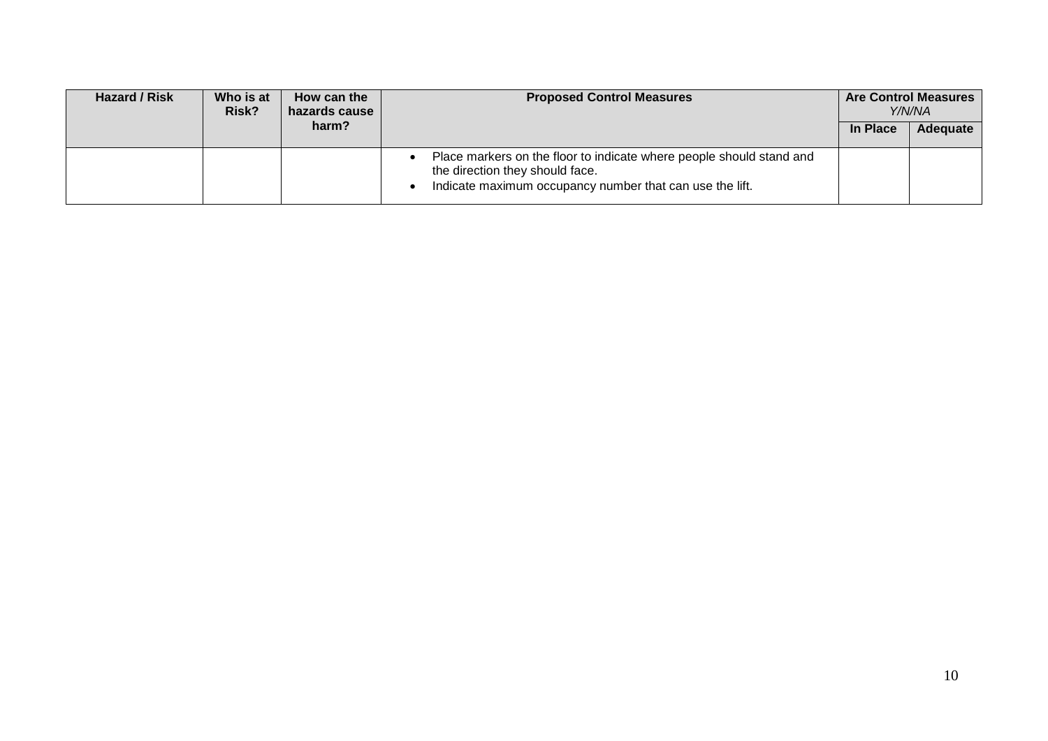| Hazard / Risk | Who is at<br>Risk? | How can the<br>hazards cause | <b>Proposed Control Measures</b>                                                                                                                                    | <b>Are Control Measures</b><br>Y/N/NA |          |
|---------------|--------------------|------------------------------|---------------------------------------------------------------------------------------------------------------------------------------------------------------------|---------------------------------------|----------|
|               |                    | harm?                        |                                                                                                                                                                     | In Place                              | Adequate |
|               |                    |                              | Place markers on the floor to indicate where people should stand and<br>the direction they should face.<br>Indicate maximum occupancy number that can use the lift. |                                       |          |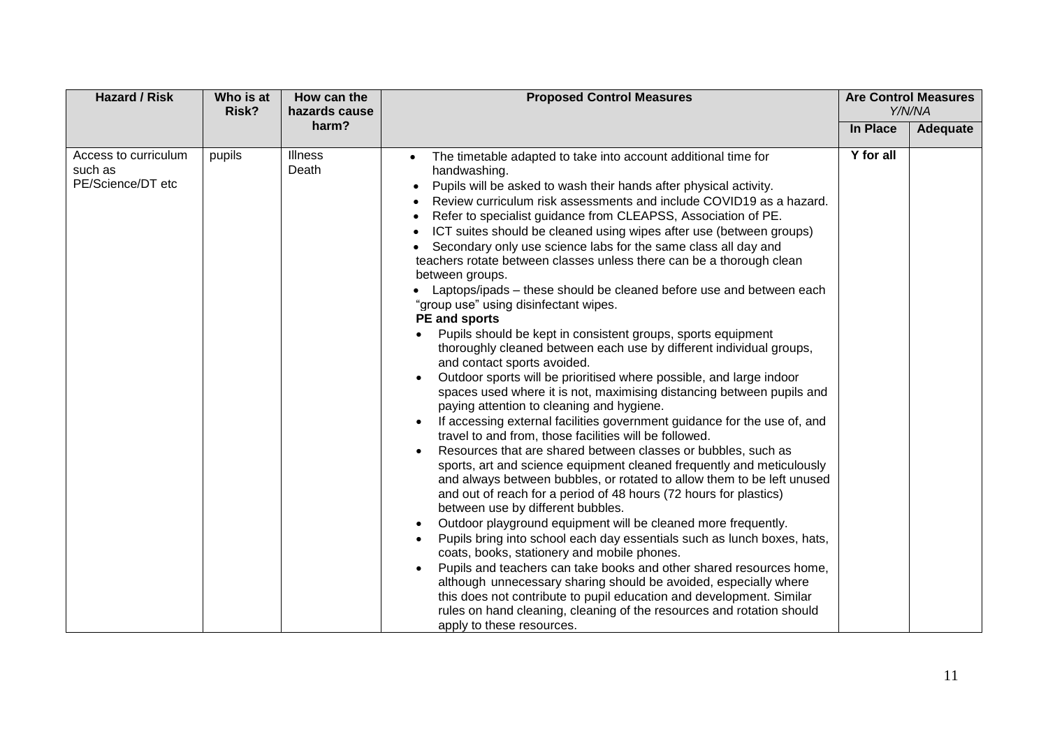| <b>Hazard / Risk</b>                                 | Who is at<br>Risk? | How can the<br><b>Proposed Control Measures</b><br>hazards cause |                                                                                                                                                                                                                                                                                                                                                                                                                                                                                                                                                                                                                                                                                                                                                                                                                                                                                                                                                                                                                                                                                                                                                                                                                                                                                                                                                                                                                                                                                                                                                                                                                                                                                                                                                                                                                                                                                                                                                                                                                                                                    | <b>Are Control Measures</b><br>Y/N/NA |          |
|------------------------------------------------------|--------------------|------------------------------------------------------------------|--------------------------------------------------------------------------------------------------------------------------------------------------------------------------------------------------------------------------------------------------------------------------------------------------------------------------------------------------------------------------------------------------------------------------------------------------------------------------------------------------------------------------------------------------------------------------------------------------------------------------------------------------------------------------------------------------------------------------------------------------------------------------------------------------------------------------------------------------------------------------------------------------------------------------------------------------------------------------------------------------------------------------------------------------------------------------------------------------------------------------------------------------------------------------------------------------------------------------------------------------------------------------------------------------------------------------------------------------------------------------------------------------------------------------------------------------------------------------------------------------------------------------------------------------------------------------------------------------------------------------------------------------------------------------------------------------------------------------------------------------------------------------------------------------------------------------------------------------------------------------------------------------------------------------------------------------------------------------------------------------------------------------------------------------------------------|---------------------------------------|----------|
|                                                      |                    | harm?                                                            |                                                                                                                                                                                                                                                                                                                                                                                                                                                                                                                                                                                                                                                                                                                                                                                                                                                                                                                                                                                                                                                                                                                                                                                                                                                                                                                                                                                                                                                                                                                                                                                                                                                                                                                                                                                                                                                                                                                                                                                                                                                                    |                                       | Adequate |
| Access to curriculum<br>such as<br>PE/Science/DT etc | pupils             | <b>Illness</b><br>Death                                          | The timetable adapted to take into account additional time for<br>$\bullet$<br>handwashing.<br>Pupils will be asked to wash their hands after physical activity.<br>$\bullet$<br>Review curriculum risk assessments and include COVID19 as a hazard.<br>Refer to specialist guidance from CLEAPSS, Association of PE.<br>ICT suites should be cleaned using wipes after use (between groups)<br>Secondary only use science labs for the same class all day and<br>$\bullet$<br>teachers rotate between classes unless there can be a thorough clean<br>between groups.<br>Laptops/ipads – these should be cleaned before use and between each<br>"group use" using disinfectant wipes.<br>PE and sports<br>Pupils should be kept in consistent groups, sports equipment<br>thoroughly cleaned between each use by different individual groups,<br>and contact sports avoided.<br>Outdoor sports will be prioritised where possible, and large indoor<br>spaces used where it is not, maximising distancing between pupils and<br>paying attention to cleaning and hygiene.<br>If accessing external facilities government guidance for the use of, and<br>travel to and from, those facilities will be followed.<br>Resources that are shared between classes or bubbles, such as<br>sports, art and science equipment cleaned frequently and meticulously<br>and always between bubbles, or rotated to allow them to be left unused<br>and out of reach for a period of 48 hours (72 hours for plastics)<br>between use by different bubbles.<br>Outdoor playground equipment will be cleaned more frequently.<br>Pupils bring into school each day essentials such as lunch boxes, hats,<br>coats, books, stationery and mobile phones.<br>Pupils and teachers can take books and other shared resources home,<br>although unnecessary sharing should be avoided, especially where<br>this does not contribute to pupil education and development. Similar<br>rules on hand cleaning, cleaning of the resources and rotation should<br>apply to these resources. | Y for all                             |          |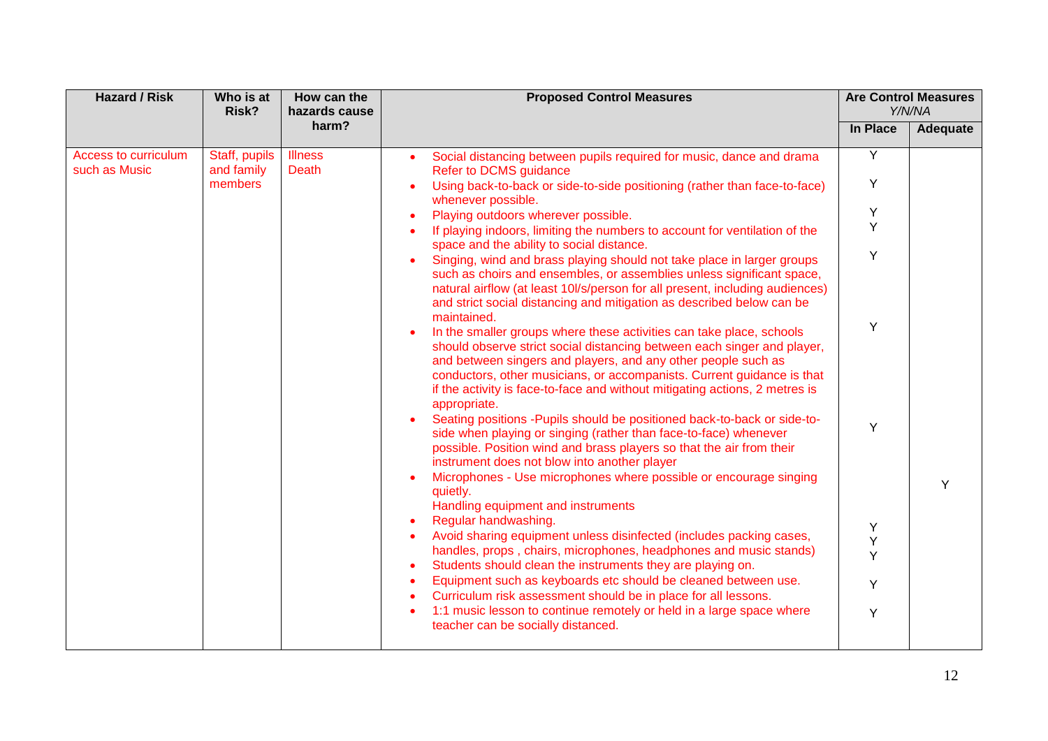| <b>Hazard / Risk</b>                  | Who is at<br>Risk?          | How can the<br><b>Proposed Control Measures</b><br>hazards cause | <b>Are Control Measures</b><br>Y/N/NA                                                                                                                                                                                                                                                                                                                                                                    |          |          |
|---------------------------------------|-----------------------------|------------------------------------------------------------------|----------------------------------------------------------------------------------------------------------------------------------------------------------------------------------------------------------------------------------------------------------------------------------------------------------------------------------------------------------------------------------------------------------|----------|----------|
|                                       |                             | harm?                                                            |                                                                                                                                                                                                                                                                                                                                                                                                          | In Place | Adequate |
| Access to curriculum<br>such as Music | Staff, pupils<br>and family | <b>Illness</b><br>Death                                          | Social distancing between pupils required for music, dance and drama<br>Refer to DCMS guidance                                                                                                                                                                                                                                                                                                           | Y        |          |
|                                       | members                     |                                                                  | Using back-to-back or side-to-side positioning (rather than face-to-face)<br>whenever possible.                                                                                                                                                                                                                                                                                                          | Y        |          |
|                                       |                             |                                                                  | Playing outdoors wherever possible.                                                                                                                                                                                                                                                                                                                                                                      | Y        |          |
|                                       |                             |                                                                  | If playing indoors, limiting the numbers to account for ventilation of the<br>space and the ability to social distance.                                                                                                                                                                                                                                                                                  | Y        |          |
|                                       |                             |                                                                  | Singing, wind and brass playing should not take place in larger groups<br>such as choirs and ensembles, or assemblies unless significant space,<br>natural airflow (at least 10l/s/person for all present, including audiences)<br>and strict social distancing and mitigation as described below can be                                                                                                 | Y        |          |
|                                       |                             |                                                                  | maintained.<br>In the smaller groups where these activities can take place, schools<br>should observe strict social distancing between each singer and player,<br>and between singers and players, and any other people such as<br>conductors, other musicians, or accompanists. Current guidance is that<br>if the activity is face-to-face and without mitigating actions, 2 metres is<br>appropriate. | Υ        |          |
|                                       |                             |                                                                  | Seating positions - Pupils should be positioned back-to-back or side-to-<br>side when playing or singing (rather than face-to-face) whenever<br>possible. Position wind and brass players so that the air from their<br>instrument does not blow into another player<br>Microphones - Use microphones where possible or encourage singing<br>quietly.<br>Handling equipment and instruments              | Y        | Y        |
|                                       |                             |                                                                  | Regular handwashing.                                                                                                                                                                                                                                                                                                                                                                                     | Υ        |          |
|                                       |                             |                                                                  | Avoid sharing equipment unless disinfected (includes packing cases,                                                                                                                                                                                                                                                                                                                                      | Υ        |          |
|                                       |                             |                                                                  | handles, props, chairs, microphones, headphones and music stands)                                                                                                                                                                                                                                                                                                                                        | Y        |          |
|                                       |                             |                                                                  | Students should clean the instruments they are playing on.                                                                                                                                                                                                                                                                                                                                               |          |          |
|                                       |                             |                                                                  | Equipment such as keyboards etc should be cleaned between use.<br>$\bullet$<br>Curriculum risk assessment should be in place for all lessons.                                                                                                                                                                                                                                                            | Y        |          |
|                                       |                             |                                                                  | 1:1 music lesson to continue remotely or held in a large space where<br>teacher can be socially distanced.                                                                                                                                                                                                                                                                                               | Υ        |          |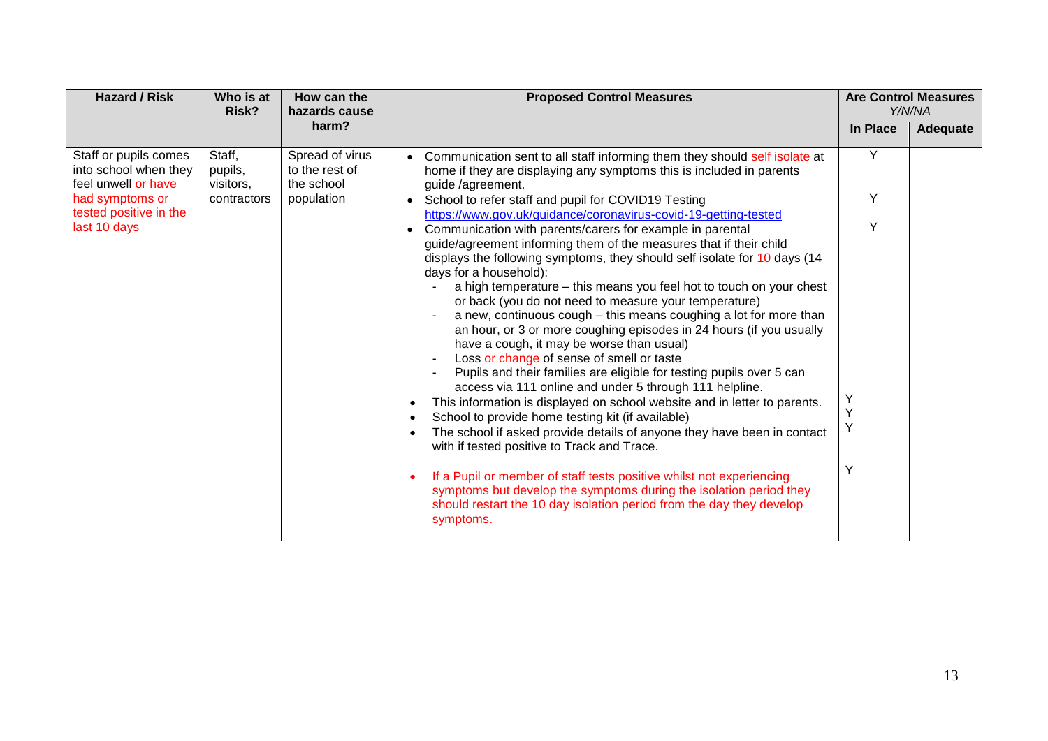| <b>Hazard / Risk</b>                                                                                                               | Who is at<br>Risk?                            | How can the<br>hazards cause                                  | <b>Proposed Control Measures</b>                                                                                                                                                                                                                                                                                                                                                                                                                                                                                                                                                                                                                                                                                                                                                                                                                                                                                                                                                                                                                                                                                                                                                                                                                                                                                                                                                                                                                                                                                                                    |                                 | <b>Are Control Measures</b><br>Y/N/NA |
|------------------------------------------------------------------------------------------------------------------------------------|-----------------------------------------------|---------------------------------------------------------------|-----------------------------------------------------------------------------------------------------------------------------------------------------------------------------------------------------------------------------------------------------------------------------------------------------------------------------------------------------------------------------------------------------------------------------------------------------------------------------------------------------------------------------------------------------------------------------------------------------------------------------------------------------------------------------------------------------------------------------------------------------------------------------------------------------------------------------------------------------------------------------------------------------------------------------------------------------------------------------------------------------------------------------------------------------------------------------------------------------------------------------------------------------------------------------------------------------------------------------------------------------------------------------------------------------------------------------------------------------------------------------------------------------------------------------------------------------------------------------------------------------------------------------------------------------|---------------------------------|---------------------------------------|
|                                                                                                                                    |                                               | harm?                                                         |                                                                                                                                                                                                                                                                                                                                                                                                                                                                                                                                                                                                                                                                                                                                                                                                                                                                                                                                                                                                                                                                                                                                                                                                                                                                                                                                                                                                                                                                                                                                                     | In Place                        | Adequate                              |
| Staff or pupils comes<br>into school when they<br>feel unwell or have<br>had symptoms or<br>tested positive in the<br>last 10 days | Staff,<br>pupils,<br>visitors,<br>contractors | Spread of virus<br>to the rest of<br>the school<br>population | Communication sent to all staff informing them they should self isolate at<br>home if they are displaying any symptoms this is included in parents<br>guide /agreement.<br>School to refer staff and pupil for COVID19 Testing<br>https://www.gov.uk/guidance/coronavirus-covid-19-getting-tested<br>Communication with parents/carers for example in parental<br>guide/agreement informing them of the measures that if their child<br>displays the following symptoms, they should self isolate for 10 days (14<br>days for a household):<br>a high temperature - this means you feel hot to touch on your chest<br>or back (you do not need to measure your temperature)<br>a new, continuous cough - this means coughing a lot for more than<br>an hour, or 3 or more coughing episodes in 24 hours (if you usually<br>have a cough, it may be worse than usual)<br>Loss or change of sense of smell or taste<br>Pupils and their families are eligible for testing pupils over 5 can<br>access via 111 online and under 5 through 111 helpline.<br>This information is displayed on school website and in letter to parents.<br>School to provide home testing kit (if available)<br>The school if asked provide details of anyone they have been in contact<br>with if tested positive to Track and Trace.<br>If a Pupil or member of staff tests positive whilst not experiencing<br>symptoms but develop the symptoms during the isolation period they<br>should restart the 10 day isolation period from the day they develop<br>symptoms. | Y<br>Y<br>Υ<br>Υ<br>Y<br>Υ<br>Y |                                       |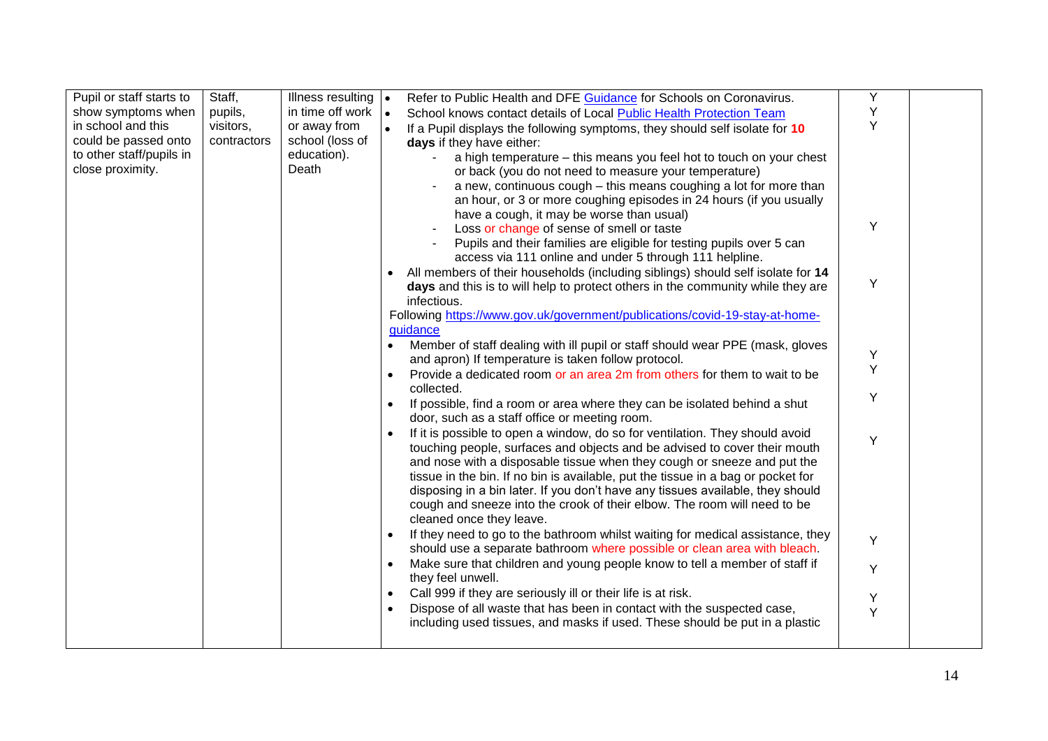| Pupil or staff starts to | Staff,      | Illness resulting $\vert \bullet \vert$ | Refer to Public Health and DFE Guidance for Schools on Coronavirus.                      | Υ |  |
|--------------------------|-------------|-----------------------------------------|------------------------------------------------------------------------------------------|---|--|
| show symptoms when       | pupils,     | in time off work                        | $\bullet$<br>School knows contact details of Local Public Health Protection Team         | Υ |  |
| in school and this       | visitors,   | or away from                            | If a Pupil displays the following symptoms, they should self isolate for 10<br>$\bullet$ | Y |  |
| could be passed onto     | contractors | school (loss of                         | days if they have either:                                                                |   |  |
| to other staff/pupils in |             | education).                             | a high temperature - this means you feel hot to touch on your chest                      |   |  |
| close proximity.         |             | Death                                   | or back (you do not need to measure your temperature)                                    |   |  |
|                          |             |                                         | a new, continuous cough - this means coughing a lot for more than                        |   |  |
|                          |             |                                         | an hour, or 3 or more coughing episodes in 24 hours (if you usually                      |   |  |
|                          |             |                                         | have a cough, it may be worse than usual)                                                |   |  |
|                          |             |                                         | Loss or change of sense of smell or taste                                                | Y |  |
|                          |             |                                         | Pupils and their families are eligible for testing pupils over 5 can                     |   |  |
|                          |             |                                         | access via 111 online and under 5 through 111 helpline.                                  |   |  |
|                          |             |                                         | All members of their households (including siblings) should self isolate for 14          |   |  |
|                          |             |                                         | days and this is to will help to protect others in the community while they are          | Y |  |
|                          |             |                                         | infectious.                                                                              |   |  |
|                          |             |                                         | Following https://www.gov.uk/government/publications/covid-19-stay-at-home-              |   |  |
|                          |             |                                         | guidance                                                                                 |   |  |
|                          |             |                                         | Member of staff dealing with ill pupil or staff should wear PPE (mask, gloves            |   |  |
|                          |             |                                         | and apron) If temperature is taken follow protocol.                                      | Y |  |
|                          |             |                                         | Provide a dedicated room or an area 2m from others for them to wait to be                | Υ |  |
|                          |             |                                         | collected.                                                                               |   |  |
|                          |             |                                         | If possible, find a room or area where they can be isolated behind a shut<br>$\bullet$   | Υ |  |
|                          |             |                                         | door, such as a staff office or meeting room.                                            |   |  |
|                          |             |                                         | If it is possible to open a window, do so for ventilation. They should avoid             | Y |  |
|                          |             |                                         | touching people, surfaces and objects and be advised to cover their mouth                |   |  |
|                          |             |                                         | and nose with a disposable tissue when they cough or sneeze and put the                  |   |  |
|                          |             |                                         | tissue in the bin. If no bin is available, put the tissue in a bag or pocket for         |   |  |
|                          |             |                                         | disposing in a bin later. If you don't have any tissues available, they should           |   |  |
|                          |             |                                         | cough and sneeze into the crook of their elbow. The room will need to be                 |   |  |
|                          |             |                                         | cleaned once they leave.                                                                 |   |  |
|                          |             |                                         | If they need to go to the bathroom whilst waiting for medical assistance, they           | Y |  |
|                          |             |                                         | should use a separate bathroom where possible or clean area with bleach.                 |   |  |
|                          |             |                                         | Make sure that children and young people know to tell a member of staff if<br>$\bullet$  | Y |  |
|                          |             |                                         | they feel unwell.                                                                        |   |  |
|                          |             |                                         | Call 999 if they are seriously ill or their life is at risk.<br>$\bullet$                | Υ |  |
|                          |             |                                         | Dispose of all waste that has been in contact with the suspected case,<br>$\bullet$      | Y |  |
|                          |             |                                         | including used tissues, and masks if used. These should be put in a plastic              |   |  |
|                          |             |                                         |                                                                                          |   |  |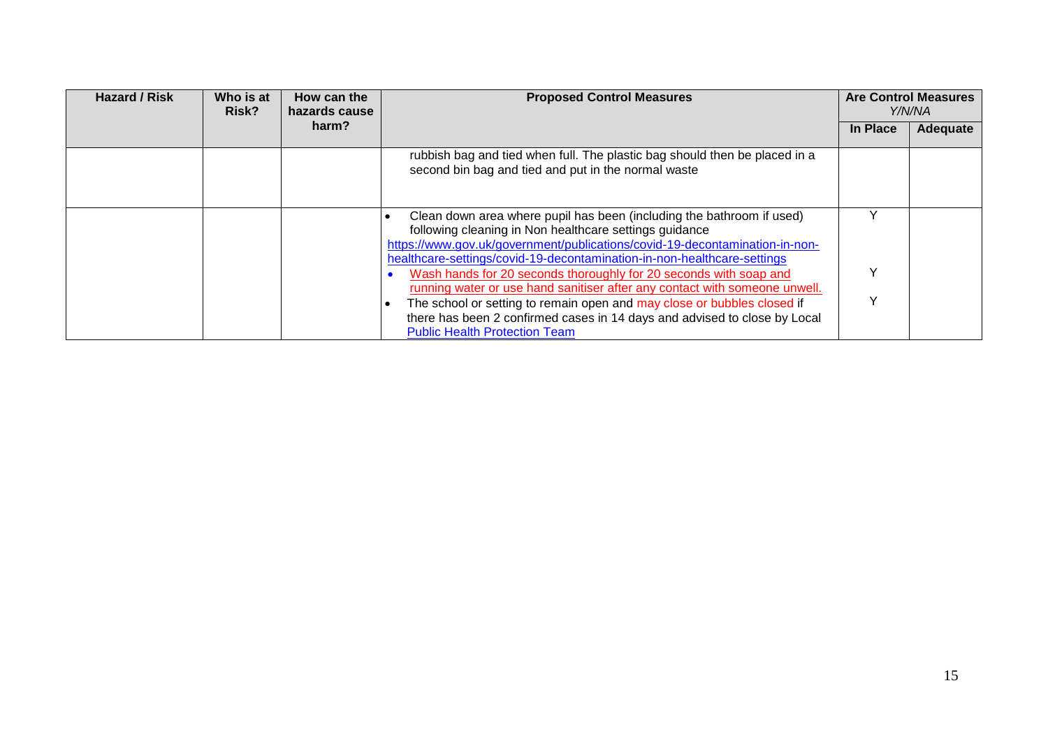| <b>Hazard / Risk</b> | Who is at<br>Risk? | How can the<br>hazards cause | <b>Proposed Control Measures</b>                                                                                                                                                                                                                                                          | <b>Are Control Measures</b><br>Y/N/NA |          |
|----------------------|--------------------|------------------------------|-------------------------------------------------------------------------------------------------------------------------------------------------------------------------------------------------------------------------------------------------------------------------------------------|---------------------------------------|----------|
|                      |                    | harm?                        |                                                                                                                                                                                                                                                                                           | In Place                              | Adequate |
|                      |                    |                              | rubbish bag and tied when full. The plastic bag should then be placed in a<br>second bin bag and tied and put in the normal waste                                                                                                                                                         |                                       |          |
|                      |                    |                              | Clean down area where pupil has been (including the bathroom if used)<br>following cleaning in Non healthcare settings guidance<br>https://www.gov.uk/government/publications/covid-19-decontamination-in-non-<br>healthcare-settings/covid-19-decontamination-in-non-healthcare-settings |                                       |          |
|                      |                    |                              | Wash hands for 20 seconds thoroughly for 20 seconds with soap and<br>running water or use hand sanitiser after any contact with someone unwell.                                                                                                                                           | v                                     |          |
|                      |                    |                              | The school or setting to remain open and may close or bubbles closed if<br>there has been 2 confirmed cases in 14 days and advised to close by Local<br><b>Public Health Protection Team</b>                                                                                              | ◡                                     |          |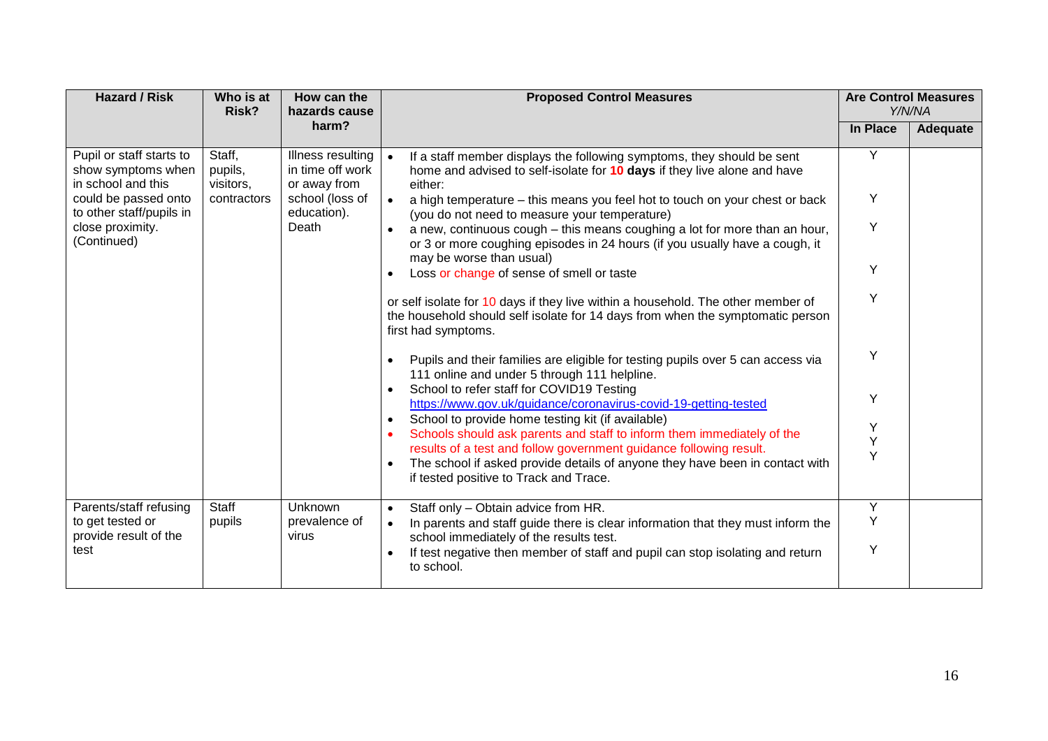| <b>Hazard / Risk</b>                                                 | Who is at<br>Risk?             | How can the<br>hazards cause                          | <b>Proposed Control Measures</b>                                                                                                                                                                                            |                 | <b>Are Control Measures</b><br>Y/N/NA |
|----------------------------------------------------------------------|--------------------------------|-------------------------------------------------------|-----------------------------------------------------------------------------------------------------------------------------------------------------------------------------------------------------------------------------|-----------------|---------------------------------------|
|                                                                      |                                | harm?                                                 |                                                                                                                                                                                                                             | <b>In Place</b> | Adequate                              |
| Pupil or staff starts to<br>show symptoms when<br>in school and this | Staff,<br>pupils,<br>visitors, | Illness resulting<br>in time off work<br>or away from | If a staff member displays the following symptoms, they should be sent<br>$\bullet$<br>home and advised to self-isolate for 10 days if they live alone and have<br>either:                                                  | Y               |                                       |
| could be passed onto<br>to other staff/pupils in                     | contractors                    | school (loss of<br>education).                        | a high temperature - this means you feel hot to touch on your chest or back<br>$\bullet$<br>(you do not need to measure your temperature)                                                                                   | Y               |                                       |
| close proximity.<br>(Continued)                                      |                                | Death                                                 | a new, continuous cough – this means coughing a lot for more than an hour,<br>$\bullet$<br>or 3 or more coughing episodes in 24 hours (if you usually have a cough, it<br>may be worse than usual)                          | Y               |                                       |
|                                                                      |                                |                                                       | Loss or change of sense of smell or taste                                                                                                                                                                                   | Υ               |                                       |
|                                                                      |                                |                                                       | or self isolate for 10 days if they live within a household. The other member of<br>the household should self isolate for 14 days from when the symptomatic person<br>first had symptoms.                                   | Y               |                                       |
|                                                                      |                                |                                                       | Pupils and their families are eligible for testing pupils over 5 can access via<br>$\bullet$<br>111 online and under 5 through 111 helpline.                                                                                | Υ               |                                       |
|                                                                      |                                |                                                       | School to refer staff for COVID19 Testing<br>$\bullet$<br>https://www.gov.uk/guidance/coronavirus-covid-19-getting-tested                                                                                                   | Y               |                                       |
|                                                                      |                                |                                                       | School to provide home testing kit (if available)<br>$\bullet$<br>Schools should ask parents and staff to inform them immediately of the<br>$\bullet$<br>results of a test and follow government guidance following result. | Υ<br>Y          |                                       |
|                                                                      |                                |                                                       | The school if asked provide details of anyone they have been in contact with<br>$\bullet$<br>if tested positive to Track and Trace.                                                                                         | Y               |                                       |
| Parents/staff refusing                                               | Staff                          | Unknown                                               | Staff only - Obtain advice from HR.<br>$\bullet$                                                                                                                                                                            | Y               |                                       |
| to get tested or<br>provide result of the                            | pupils                         | prevalence of<br>virus                                | In parents and staff guide there is clear information that they must inform the<br>$\bullet$<br>school immediately of the results test.                                                                                     | Y               |                                       |
| test                                                                 |                                |                                                       | If test negative then member of staff and pupil can stop isolating and return<br>$\bullet$<br>to school.                                                                                                                    | Y               |                                       |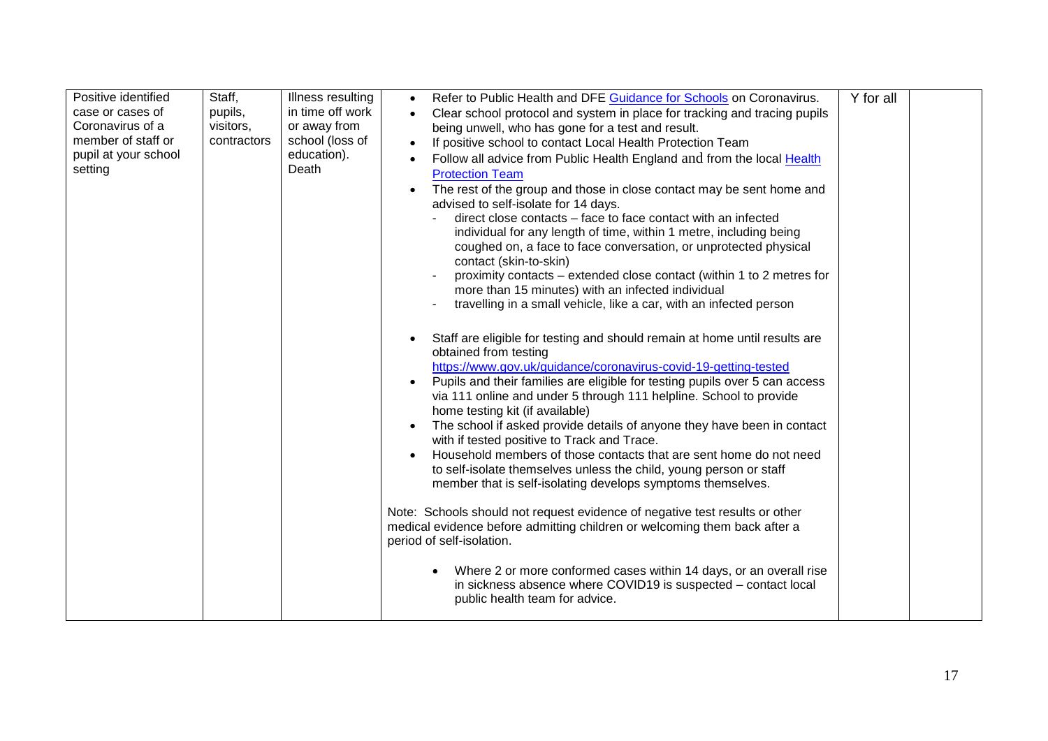| Positive identified<br>case or cases of<br>Coronavirus of a<br>member of staff or<br>pupil at your school<br>setting | Staff,<br>pupils,<br>visitors,<br>contractors | Illness resulting<br>in time off work<br>or away from<br>school (loss of<br>education).<br>Death | Refer to Public Health and DFE Guidance for Schools on Coronavirus.<br>$\bullet$<br>Clear school protocol and system in place for tracking and tracing pupils<br>being unwell, who has gone for a test and result.<br>If positive school to contact Local Health Protection Team<br>$\bullet$<br>Follow all advice from Public Health England and from the local Health<br><b>Protection Team</b><br>The rest of the group and those in close contact may be sent home and<br>$\bullet$<br>advised to self-isolate for 14 days.<br>direct close contacts – face to face contact with an infected<br>individual for any length of time, within 1 metre, including being<br>coughed on, a face to face conversation, or unprotected physical<br>contact (skin-to-skin)<br>proximity contacts - extended close contact (within 1 to 2 metres for<br>more than 15 minutes) with an infected individual<br>travelling in a small vehicle, like a car, with an infected person<br>Staff are eligible for testing and should remain at home until results are<br>obtained from testing<br>https://www.gov.uk/guidance/coronavirus-covid-19-getting-tested<br>Pupils and their families are eligible for testing pupils over 5 can access<br>$\bullet$<br>via 111 online and under 5 through 111 helpline. School to provide<br>home testing kit (if available)<br>The school if asked provide details of anyone they have been in contact<br>$\bullet$<br>with if tested positive to Track and Trace.<br>Household members of those contacts that are sent home do not need<br>$\bullet$<br>to self-isolate themselves unless the child, young person or staff<br>member that is self-isolating develops symptoms themselves.<br>Note: Schools should not request evidence of negative test results or other<br>medical evidence before admitting children or welcoming them back after a<br>period of self-isolation.<br>Where 2 or more conformed cases within 14 days, or an overall rise<br>in sickness absence where COVID19 is suspected – contact local<br>public health team for advice. | Y for all |  |
|----------------------------------------------------------------------------------------------------------------------|-----------------------------------------------|--------------------------------------------------------------------------------------------------|-------------------------------------------------------------------------------------------------------------------------------------------------------------------------------------------------------------------------------------------------------------------------------------------------------------------------------------------------------------------------------------------------------------------------------------------------------------------------------------------------------------------------------------------------------------------------------------------------------------------------------------------------------------------------------------------------------------------------------------------------------------------------------------------------------------------------------------------------------------------------------------------------------------------------------------------------------------------------------------------------------------------------------------------------------------------------------------------------------------------------------------------------------------------------------------------------------------------------------------------------------------------------------------------------------------------------------------------------------------------------------------------------------------------------------------------------------------------------------------------------------------------------------------------------------------------------------------------------------------------------------------------------------------------------------------------------------------------------------------------------------------------------------------------------------------------------------------------------------------------------------------------------------------------------------------------------------------------------------------------------------------------------------------------------------------------------------------------|-----------|--|
|----------------------------------------------------------------------------------------------------------------------|-----------------------------------------------|--------------------------------------------------------------------------------------------------|-------------------------------------------------------------------------------------------------------------------------------------------------------------------------------------------------------------------------------------------------------------------------------------------------------------------------------------------------------------------------------------------------------------------------------------------------------------------------------------------------------------------------------------------------------------------------------------------------------------------------------------------------------------------------------------------------------------------------------------------------------------------------------------------------------------------------------------------------------------------------------------------------------------------------------------------------------------------------------------------------------------------------------------------------------------------------------------------------------------------------------------------------------------------------------------------------------------------------------------------------------------------------------------------------------------------------------------------------------------------------------------------------------------------------------------------------------------------------------------------------------------------------------------------------------------------------------------------------------------------------------------------------------------------------------------------------------------------------------------------------------------------------------------------------------------------------------------------------------------------------------------------------------------------------------------------------------------------------------------------------------------------------------------------------------------------------------------------|-----------|--|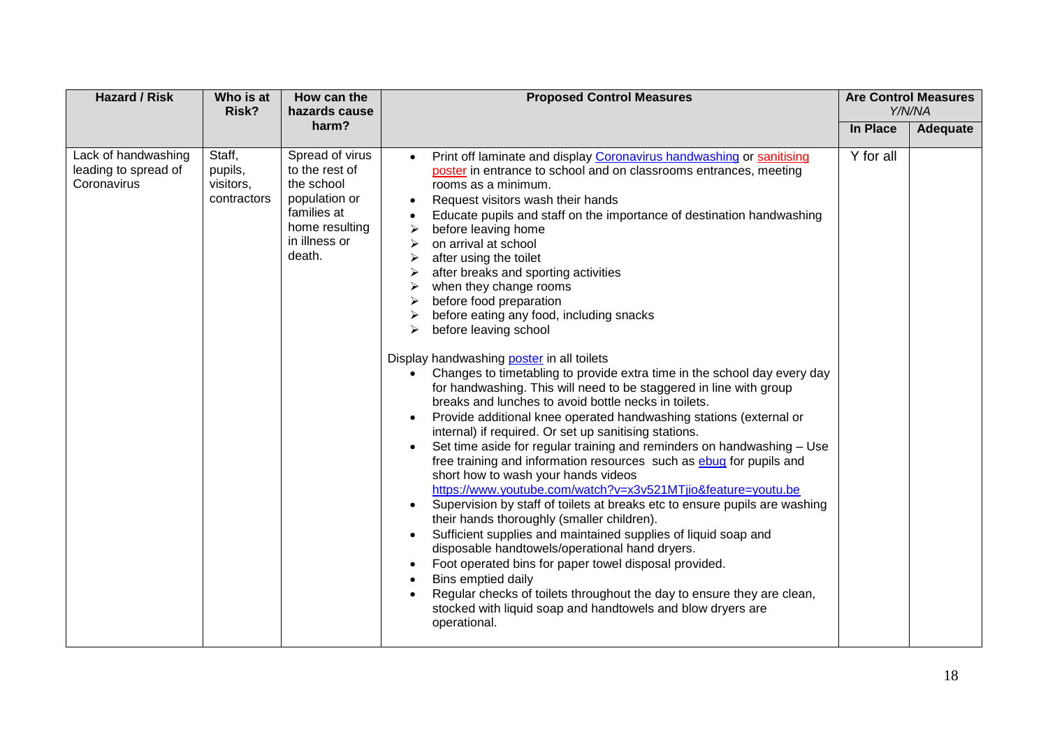| <b>Hazard / Risk</b>                                       | Who is at<br>Risk?                            |                                                                                                                              | <b>Proposed Control Measures</b><br>How can the<br>hazards cause                                                                                                                                                                                                                                                                                                                                                                                                                                                                                                                                                                                                                                                                                                                                                                                                                                                                                                                                                                                                                                                                                                                                                                                                                                                                                                                                                                                                                                                                                                                                                                                                                                                          | <b>Are Control Measures</b><br>Y/N/NA |          |
|------------------------------------------------------------|-----------------------------------------------|------------------------------------------------------------------------------------------------------------------------------|---------------------------------------------------------------------------------------------------------------------------------------------------------------------------------------------------------------------------------------------------------------------------------------------------------------------------------------------------------------------------------------------------------------------------------------------------------------------------------------------------------------------------------------------------------------------------------------------------------------------------------------------------------------------------------------------------------------------------------------------------------------------------------------------------------------------------------------------------------------------------------------------------------------------------------------------------------------------------------------------------------------------------------------------------------------------------------------------------------------------------------------------------------------------------------------------------------------------------------------------------------------------------------------------------------------------------------------------------------------------------------------------------------------------------------------------------------------------------------------------------------------------------------------------------------------------------------------------------------------------------------------------------------------------------------------------------------------------------|---------------------------------------|----------|
|                                                            |                                               | harm?                                                                                                                        |                                                                                                                                                                                                                                                                                                                                                                                                                                                                                                                                                                                                                                                                                                                                                                                                                                                                                                                                                                                                                                                                                                                                                                                                                                                                                                                                                                                                                                                                                                                                                                                                                                                                                                                           | In Place                              | Adequate |
| Lack of handwashing<br>leading to spread of<br>Coronavirus | Staff,<br>pupils,<br>visitors,<br>contractors | Spread of virus<br>to the rest of<br>the school<br>population or<br>families at<br>home resulting<br>in illness or<br>death. | Print off laminate and display Coronavirus handwashing or sanitising<br>$\bullet$<br>poster in entrance to school and on classrooms entrances, meeting<br>rooms as a minimum.<br>Request visitors wash their hands<br>Educate pupils and staff on the importance of destination handwashing<br>before leaving home<br>on arrival at school<br>after using the toilet<br>➤<br>after breaks and sporting activities<br>when they change rooms<br>➤<br>before food preparation<br>➤<br>before eating any food, including snacks<br>before leaving school<br>⋗<br>Display handwashing poster in all toilets<br>Changes to timetabling to provide extra time in the school day every day<br>for handwashing. This will need to be staggered in line with group<br>breaks and lunches to avoid bottle necks in toilets.<br>Provide additional knee operated handwashing stations (external or<br>٠<br>internal) if required. Or set up sanitising stations.<br>Set time aside for regular training and reminders on handwashing - Use<br>$\bullet$<br>free training and information resources such as <b>ebug</b> for pupils and<br>short how to wash your hands videos<br>https://www.youtube.com/watch?v=x3v521MTjio&feature=youtu.be<br>Supervision by staff of toilets at breaks etc to ensure pupils are washing<br>their hands thoroughly (smaller children).<br>Sufficient supplies and maintained supplies of liquid soap and<br>disposable handtowels/operational hand dryers.<br>Foot operated bins for paper towel disposal provided.<br>Bins emptied daily<br>Regular checks of toilets throughout the day to ensure they are clean,<br>stocked with liquid soap and handtowels and blow dryers are<br>operational. | Y for all                             |          |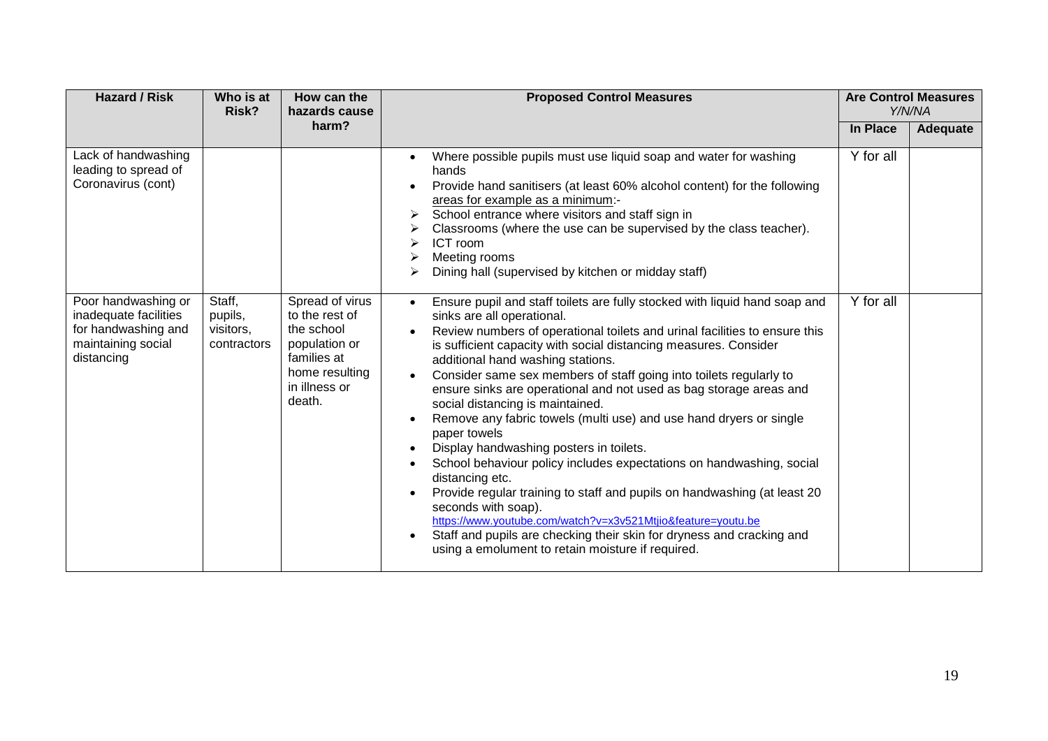| <b>Hazard / Risk</b>                                                                                    | Who is at<br>Risk?                            | How can the<br>hazards cause                                                                                                 | <b>Proposed Control Measures</b>                                                                                                                                                                                                                                                                                                                                                                                                                                                                                                                                                                                                                                                                                                                                                                                                                                                                                                                                                                                                       |           | <b>Are Control Measures</b><br>Y/N/NA |
|---------------------------------------------------------------------------------------------------------|-----------------------------------------------|------------------------------------------------------------------------------------------------------------------------------|----------------------------------------------------------------------------------------------------------------------------------------------------------------------------------------------------------------------------------------------------------------------------------------------------------------------------------------------------------------------------------------------------------------------------------------------------------------------------------------------------------------------------------------------------------------------------------------------------------------------------------------------------------------------------------------------------------------------------------------------------------------------------------------------------------------------------------------------------------------------------------------------------------------------------------------------------------------------------------------------------------------------------------------|-----------|---------------------------------------|
|                                                                                                         |                                               | harm?                                                                                                                        |                                                                                                                                                                                                                                                                                                                                                                                                                                                                                                                                                                                                                                                                                                                                                                                                                                                                                                                                                                                                                                        | In Place  | Adequate                              |
| Lack of handwashing<br>leading to spread of<br>Coronavirus (cont)                                       |                                               |                                                                                                                              | Where possible pupils must use liquid soap and water for washing<br>hands<br>Provide hand sanitisers (at least 60% alcohol content) for the following<br>areas for example as a minimum:-<br>School entrance where visitors and staff sign in<br>⋗<br>Classrooms (where the use can be supervised by the class teacher).<br>ICT room<br>Meeting rooms<br>Dining hall (supervised by kitchen or midday staff)<br>⋗                                                                                                                                                                                                                                                                                                                                                                                                                                                                                                                                                                                                                      | Y for all |                                       |
| Poor handwashing or<br>inadequate facilities<br>for handwashing and<br>maintaining social<br>distancing | Staff,<br>pupils,<br>visitors,<br>contractors | Spread of virus<br>to the rest of<br>the school<br>population or<br>families at<br>home resulting<br>in illness or<br>death. | Ensure pupil and staff toilets are fully stocked with liquid hand soap and<br>$\bullet$<br>sinks are all operational.<br>Review numbers of operational toilets and urinal facilities to ensure this<br>is sufficient capacity with social distancing measures. Consider<br>additional hand washing stations.<br>Consider same sex members of staff going into toilets regularly to<br>ensure sinks are operational and not used as bag storage areas and<br>social distancing is maintained.<br>Remove any fabric towels (multi use) and use hand dryers or single<br>paper towels<br>Display handwashing posters in toilets.<br>School behaviour policy includes expectations on handwashing, social<br>distancing etc.<br>Provide regular training to staff and pupils on handwashing (at least 20<br>seconds with soap).<br>https://www.youtube.com/watch?v=x3v521Mtjio&feature=youtu.be<br>Staff and pupils are checking their skin for dryness and cracking and<br>$\bullet$<br>using a emolument to retain moisture if required. | Y for all |                                       |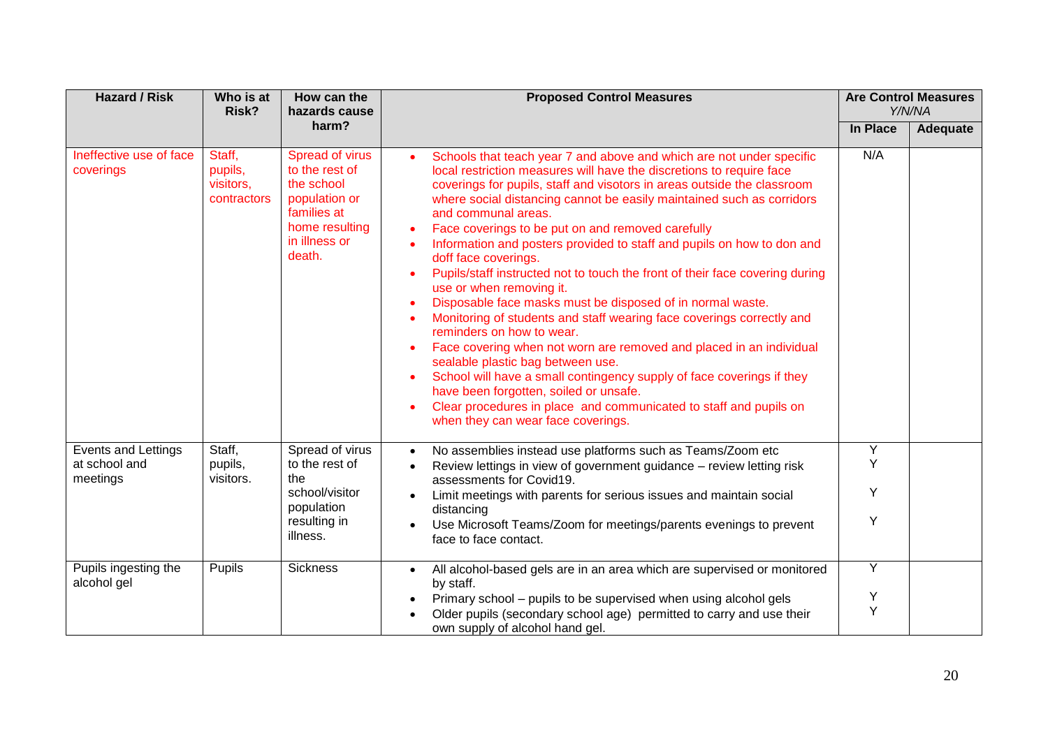| <b>Hazard / Risk</b>                                    | Who is at<br>Risk?                            | How can the<br>hazards cause<br>harm?                                                                                        | <b>Proposed Control Measures</b>                                                                                                                                                                                                                                                                                                                                                                                                                                                                                                                                                                                                                                                                                                                                                                                                                                                                                                                                                                                                                                                                                                                | <b>Are Control Measures</b><br>Y/N/NA |          |
|---------------------------------------------------------|-----------------------------------------------|------------------------------------------------------------------------------------------------------------------------------|-------------------------------------------------------------------------------------------------------------------------------------------------------------------------------------------------------------------------------------------------------------------------------------------------------------------------------------------------------------------------------------------------------------------------------------------------------------------------------------------------------------------------------------------------------------------------------------------------------------------------------------------------------------------------------------------------------------------------------------------------------------------------------------------------------------------------------------------------------------------------------------------------------------------------------------------------------------------------------------------------------------------------------------------------------------------------------------------------------------------------------------------------|---------------------------------------|----------|
|                                                         |                                               |                                                                                                                              |                                                                                                                                                                                                                                                                                                                                                                                                                                                                                                                                                                                                                                                                                                                                                                                                                                                                                                                                                                                                                                                                                                                                                 | In Place                              | Adequate |
| Ineffective use of face<br>coverings                    | Staff,<br>pupils,<br>visitors,<br>contractors | Spread of virus<br>to the rest of<br>the school<br>population or<br>families at<br>home resulting<br>in illness or<br>death. | Schools that teach year 7 and above and which are not under specific<br>$\bullet$<br>local restriction measures will have the discretions to require face<br>coverings for pupils, staff and visotors in areas outside the classroom<br>where social distancing cannot be easily maintained such as corridors<br>and communal areas.<br>Face coverings to be put on and removed carefully<br>$\bullet$<br>Information and posters provided to staff and pupils on how to don and<br>doff face coverings.<br>Pupils/staff instructed not to touch the front of their face covering during<br>$\bullet$<br>use or when removing it.<br>Disposable face masks must be disposed of in normal waste.<br>Monitoring of students and staff wearing face coverings correctly and<br>reminders on how to wear.<br>Face covering when not worn are removed and placed in an individual<br>sealable plastic bag between use.<br>School will have a small contingency supply of face coverings if they<br>have been forgotten, soiled or unsafe.<br>Clear procedures in place and communicated to staff and pupils on<br>when they can wear face coverings. | N/A                                   |          |
| <b>Events and Lettings</b><br>at school and<br>meetings | Staff,<br>pupils,<br>visitors.                | Spread of virus<br>to the rest of<br>the<br>school/visitor<br>population<br>resulting in<br>illness.                         | No assemblies instead use platforms such as Teams/Zoom etc<br>$\bullet$<br>Review lettings in view of government guidance - review letting risk<br>$\bullet$<br>assessments for Covid19.<br>Limit meetings with parents for serious issues and maintain social<br>distancing<br>Use Microsoft Teams/Zoom for meetings/parents evenings to prevent<br>face to face contact.                                                                                                                                                                                                                                                                                                                                                                                                                                                                                                                                                                                                                                                                                                                                                                      | Y<br>Y<br>Y<br>Y                      |          |
| Pupils ingesting the<br>alcohol gel                     | Pupils                                        | <b>Sickness</b>                                                                                                              | All alcohol-based gels are in an area which are supervised or monitored<br>by staff.<br>Primary school - pupils to be supervised when using alcohol gels<br>Older pupils (secondary school age) permitted to carry and use their<br>own supply of alcohol hand gel.                                                                                                                                                                                                                                                                                                                                                                                                                                                                                                                                                                                                                                                                                                                                                                                                                                                                             | Y<br>Υ<br>Y                           |          |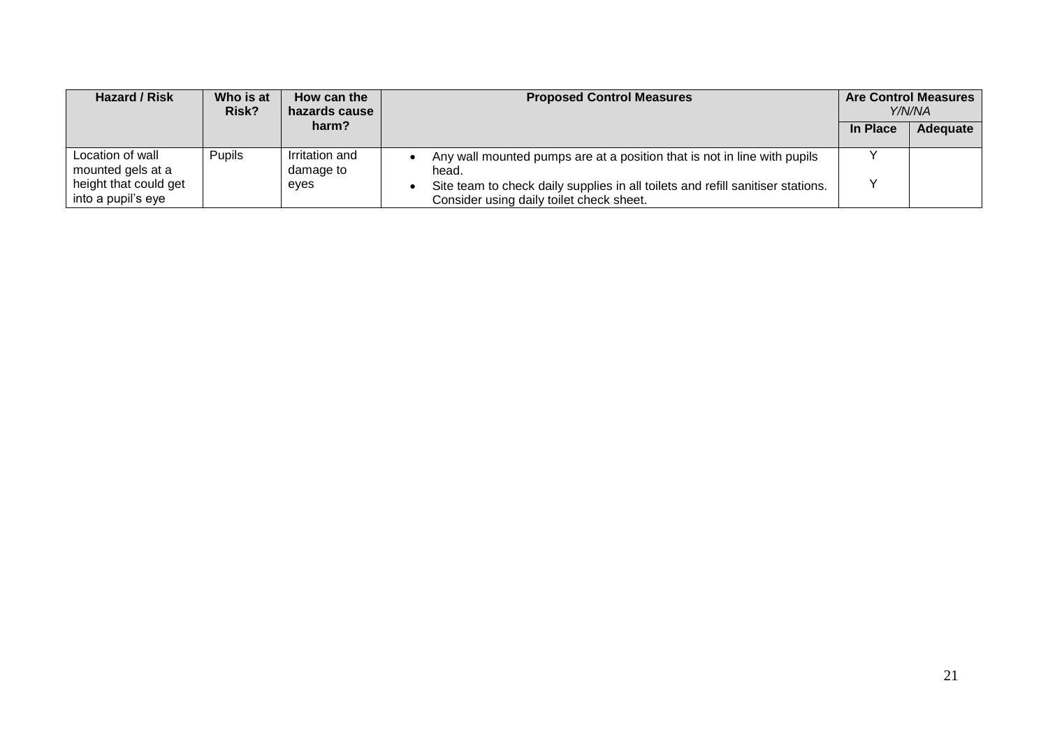| Hazard / Risk                               | Who is at<br>Risk? | How can the<br>hazards cause | <b>Proposed Control Measures</b>                                                                                            |              | <b>Are Control Measures</b><br>Y/N/NA |
|---------------------------------------------|--------------------|------------------------------|-----------------------------------------------------------------------------------------------------------------------------|--------------|---------------------------------------|
|                                             |                    | harm?                        |                                                                                                                             | In Place     | Adequate                              |
| Location of wall<br>mounted gels at a       | <b>Pupils</b>      | Irritation and<br>damage to  | Any wall mounted pumps are at a position that is not in line with pupils<br>head.                                           |              |                                       |
| height that could get<br>into a pupil's eye |                    | eves                         | Site team to check daily supplies in all toilets and refill sanitiser stations.<br>Consider using daily toilet check sheet. | $\checkmark$ |                                       |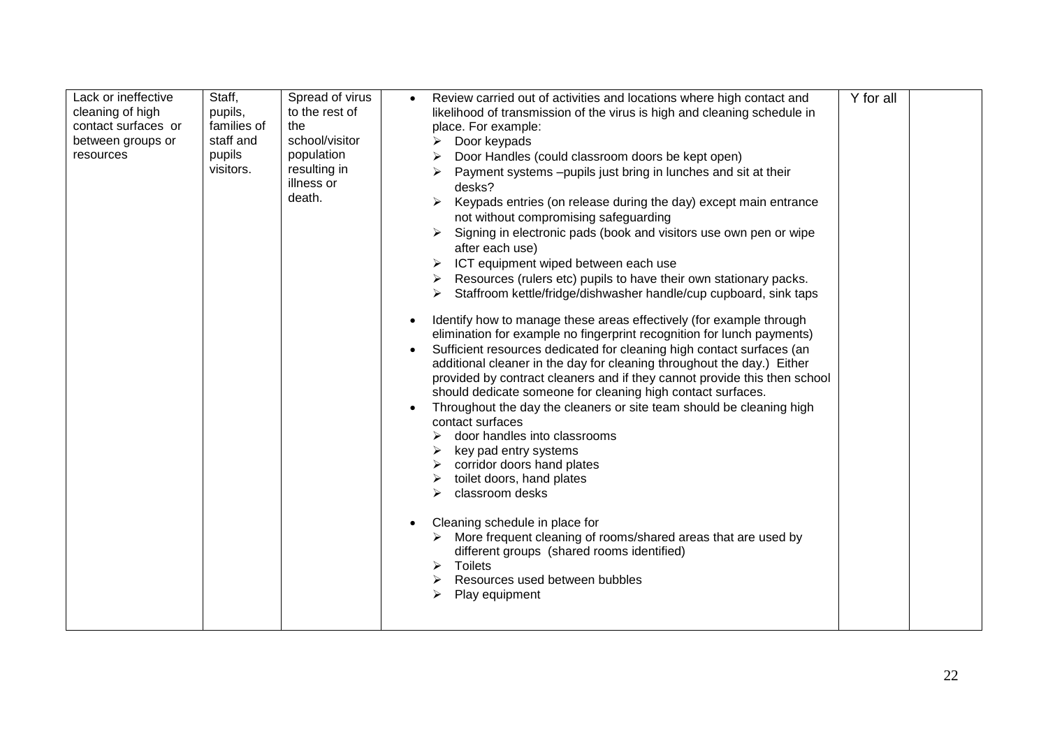| cleaning of high<br>contact surfaces or<br>between groups or<br>resources | pupils,<br>families of<br>staff and<br>pupils<br>visitors. | to the rest of<br>the<br>school/visitor<br>population<br>resulting in<br>illness or<br>death. | likelihood of transmission of the virus is high and cleaning schedule in<br>place. For example:<br>Door keypads<br>Door Handles (could classroom doors be kept open)<br>Payment systems -pupils just bring in lunches and sit at their<br>desks?<br>Keypads entries (on release during the day) except main entrance<br>➤<br>not without compromising safeguarding<br>Signing in electronic pads (book and visitors use own pen or wipe<br>after each use)<br>ICT equipment wiped between each use<br>Resources (rulers etc) pupils to have their own stationary packs.<br>Staffroom kettle/fridge/dishwasher handle/cup cupboard, sink taps<br>Identify how to manage these areas effectively (for example through<br>$\bullet$<br>elimination for example no fingerprint recognition for lunch payments)<br>Sufficient resources dedicated for cleaning high contact surfaces (an<br>additional cleaner in the day for cleaning throughout the day.) Either<br>provided by contract cleaners and if they cannot provide this then school<br>should dedicate someone for cleaning high contact surfaces.<br>Throughout the day the cleaners or site team should be cleaning high<br>contact surfaces<br>door handles into classrooms<br>key pad entry systems<br>corridor doors hand plates<br>toilet doors, hand plates<br>classroom desks<br>↘<br>Cleaning schedule in place for<br>$\bullet$<br>$\triangleright$ More frequent cleaning of rooms/shared areas that are used by<br>different groups (shared rooms identified)<br>Toilets<br>⋗<br>Resources used between bubbles<br>➤<br>Play equipment<br>⋗ |  |  |
|---------------------------------------------------------------------------|------------------------------------------------------------|-----------------------------------------------------------------------------------------------|----------------------------------------------------------------------------------------------------------------------------------------------------------------------------------------------------------------------------------------------------------------------------------------------------------------------------------------------------------------------------------------------------------------------------------------------------------------------------------------------------------------------------------------------------------------------------------------------------------------------------------------------------------------------------------------------------------------------------------------------------------------------------------------------------------------------------------------------------------------------------------------------------------------------------------------------------------------------------------------------------------------------------------------------------------------------------------------------------------------------------------------------------------------------------------------------------------------------------------------------------------------------------------------------------------------------------------------------------------------------------------------------------------------------------------------------------------------------------------------------------------------------------------------------------------------------------------------------------------------|--|--|
|---------------------------------------------------------------------------|------------------------------------------------------------|-----------------------------------------------------------------------------------------------|----------------------------------------------------------------------------------------------------------------------------------------------------------------------------------------------------------------------------------------------------------------------------------------------------------------------------------------------------------------------------------------------------------------------------------------------------------------------------------------------------------------------------------------------------------------------------------------------------------------------------------------------------------------------------------------------------------------------------------------------------------------------------------------------------------------------------------------------------------------------------------------------------------------------------------------------------------------------------------------------------------------------------------------------------------------------------------------------------------------------------------------------------------------------------------------------------------------------------------------------------------------------------------------------------------------------------------------------------------------------------------------------------------------------------------------------------------------------------------------------------------------------------------------------------------------------------------------------------------------|--|--|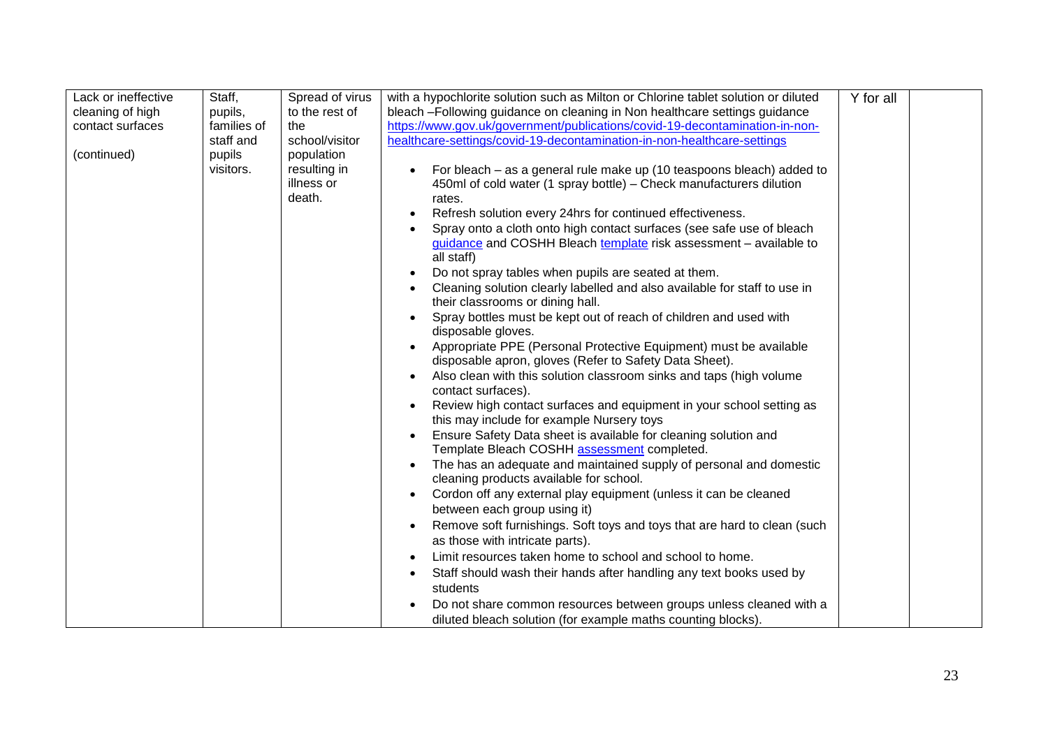| Lack or ineffective | Staff,      | Spread of virus | with a hypochlorite solution such as Milton or Chlorine tablet solution or diluted    | Y for all |  |
|---------------------|-------------|-----------------|---------------------------------------------------------------------------------------|-----------|--|
| cleaning of high    | pupils,     | to the rest of  | bleach -Following guidance on cleaning in Non healthcare settings guidance            |           |  |
| contact surfaces    | families of | the             | https://www.gov.uk/government/publications/covid-19-decontamination-in-non-           |           |  |
|                     | staff and   | school/visitor  | healthcare-settings/covid-19-decontamination-in-non-healthcare-settings               |           |  |
| (continued)         | pupils      | population      |                                                                                       |           |  |
|                     | visitors.   | resulting in    | For bleach – as a general rule make up (10 teaspoons bleach) added to<br>$\bullet$    |           |  |
|                     |             | illness or      | 450ml of cold water (1 spray bottle) – Check manufacturers dilution                   |           |  |
|                     |             | death.          | rates.                                                                                |           |  |
|                     |             |                 | Refresh solution every 24hrs for continued effectiveness.                             |           |  |
|                     |             |                 | Spray onto a cloth onto high contact surfaces (see safe use of bleach                 |           |  |
|                     |             |                 | guidance and COSHH Bleach template risk assessment - available to                     |           |  |
|                     |             |                 | all staff)                                                                            |           |  |
|                     |             |                 | Do not spray tables when pupils are seated at them.<br>$\bullet$                      |           |  |
|                     |             |                 | Cleaning solution clearly labelled and also available for staff to use in             |           |  |
|                     |             |                 | their classrooms or dining hall.                                                      |           |  |
|                     |             |                 | Spray bottles must be kept out of reach of children and used with                     |           |  |
|                     |             |                 | disposable gloves.                                                                    |           |  |
|                     |             |                 | Appropriate PPE (Personal Protective Equipment) must be available                     |           |  |
|                     |             |                 | disposable apron, gloves (Refer to Safety Data Sheet).                                |           |  |
|                     |             |                 | Also clean with this solution classroom sinks and taps (high volume                   |           |  |
|                     |             |                 | contact surfaces).                                                                    |           |  |
|                     |             |                 | Review high contact surfaces and equipment in your school setting as                  |           |  |
|                     |             |                 | this may include for example Nursery toys                                             |           |  |
|                     |             |                 | Ensure Safety Data sheet is available for cleaning solution and                       |           |  |
|                     |             |                 | Template Bleach COSHH assessment completed.                                           |           |  |
|                     |             |                 | The has an adequate and maintained supply of personal and domestic                    |           |  |
|                     |             |                 | cleaning products available for school.                                               |           |  |
|                     |             |                 | Cordon off any external play equipment (unless it can be cleaned                      |           |  |
|                     |             |                 | between each group using it)                                                          |           |  |
|                     |             |                 | Remove soft furnishings. Soft toys and toys that are hard to clean (such<br>$\bullet$ |           |  |
|                     |             |                 | as those with intricate parts).                                                       |           |  |
|                     |             |                 | Limit resources taken home to school and school to home.                              |           |  |
|                     |             |                 | Staff should wash their hands after handling any text books used by                   |           |  |
|                     |             |                 | students                                                                              |           |  |
|                     |             |                 |                                                                                       |           |  |
|                     |             |                 | Do not share common resources between groups unless cleaned with a                    |           |  |
|                     |             |                 | diluted bleach solution (for example maths counting blocks).                          |           |  |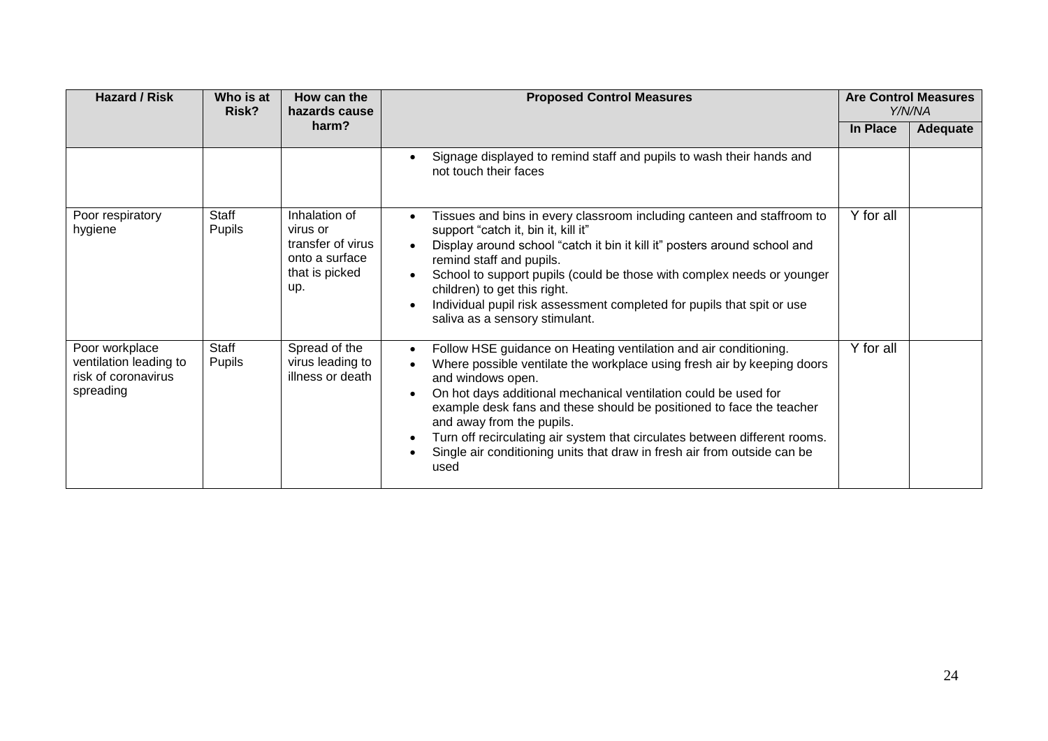| <b>Hazard / Risk</b>                                                         | Who is at<br>Risk?     | How can the<br>hazards cause                                                              | <b>Proposed Control Measures</b>                                                                                                                                                                                                                                                                                                                                                                                                                                                                                                                  |           | <b>Are Control Measures</b><br>Y/N/NA |
|------------------------------------------------------------------------------|------------------------|-------------------------------------------------------------------------------------------|---------------------------------------------------------------------------------------------------------------------------------------------------------------------------------------------------------------------------------------------------------------------------------------------------------------------------------------------------------------------------------------------------------------------------------------------------------------------------------------------------------------------------------------------------|-----------|---------------------------------------|
|                                                                              |                        | harm?                                                                                     |                                                                                                                                                                                                                                                                                                                                                                                                                                                                                                                                                   | In Place  | <b>Adequate</b>                       |
|                                                                              |                        |                                                                                           | Signage displayed to remind staff and pupils to wash their hands and<br>$\bullet$<br>not touch their faces                                                                                                                                                                                                                                                                                                                                                                                                                                        |           |                                       |
| Poor respiratory<br>hygiene                                                  | Staff<br>Pupils        | Inhalation of<br>virus or<br>transfer of virus<br>onto a surface<br>that is picked<br>up. | Tissues and bins in every classroom including canteen and staffroom to<br>support "catch it, bin it, kill it"<br>Display around school "catch it bin it kill it" posters around school and<br>$\bullet$<br>remind staff and pupils.<br>School to support pupils (could be those with complex needs or younger<br>$\bullet$<br>children) to get this right.<br>Individual pupil risk assessment completed for pupils that spit or use<br>saliva as a sensory stimulant.                                                                            | Y for all |                                       |
| Poor workplace<br>ventilation leading to<br>risk of coronavirus<br>spreading | Staff<br><b>Pupils</b> | Spread of the<br>virus leading to<br>illness or death                                     | Follow HSE guidance on Heating ventilation and air conditioning.<br>$\bullet$<br>Where possible ventilate the workplace using fresh air by keeping doors<br>and windows open.<br>On hot days additional mechanical ventilation could be used for<br>$\bullet$<br>example desk fans and these should be positioned to face the teacher<br>and away from the pupils.<br>Turn off recirculating air system that circulates between different rooms.<br>$\bullet$<br>Single air conditioning units that draw in fresh air from outside can be<br>used | Y for all |                                       |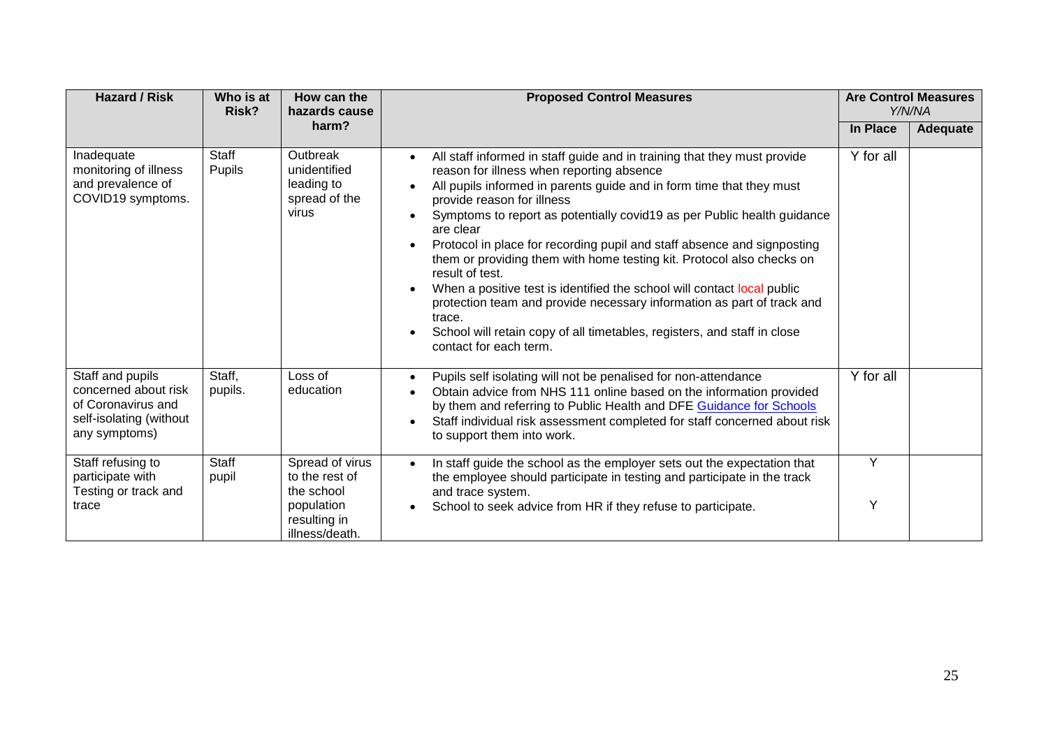| <b>Hazard / Risk</b>                                                                                       | Who is at<br>Risk?     | How can the<br>hazards cause                                                                    | <b>Proposed Control Measures</b>                                                                                                                                                                                                                                                                                                                                                                                                                                                                                                                                                                                                                                                                                                                                                                                    |           | <b>Are Control Measures</b><br>Y/N/NA |
|------------------------------------------------------------------------------------------------------------|------------------------|-------------------------------------------------------------------------------------------------|---------------------------------------------------------------------------------------------------------------------------------------------------------------------------------------------------------------------------------------------------------------------------------------------------------------------------------------------------------------------------------------------------------------------------------------------------------------------------------------------------------------------------------------------------------------------------------------------------------------------------------------------------------------------------------------------------------------------------------------------------------------------------------------------------------------------|-----------|---------------------------------------|
|                                                                                                            |                        | harm?                                                                                           |                                                                                                                                                                                                                                                                                                                                                                                                                                                                                                                                                                                                                                                                                                                                                                                                                     | In Place  | <b>Adequate</b>                       |
| Inadequate<br>monitoring of illness<br>and prevalence of<br>COVID19 symptoms.                              | Staff<br><b>Pupils</b> | Outbreak<br>unidentified<br>leading to<br>spread of the<br>virus                                | All staff informed in staff guide and in training that they must provide<br>$\bullet$<br>reason for illness when reporting absence<br>All pupils informed in parents guide and in form time that they must<br>provide reason for illness<br>Symptoms to report as potentially covid19 as per Public health guidance<br>are clear<br>Protocol in place for recording pupil and staff absence and signposting<br>$\bullet$<br>them or providing them with home testing kit. Protocol also checks on<br>result of test.<br>When a positive test is identified the school will contact local public<br>$\bullet$<br>protection team and provide necessary information as part of track and<br>trace.<br>School will retain copy of all timetables, registers, and staff in close<br>$\bullet$<br>contact for each term. | Y for all |                                       |
| Staff and pupils<br>concerned about risk<br>of Coronavirus and<br>self-isolating (without<br>any symptoms) | Staff,<br>pupils.      | Loss of<br>education                                                                            | Pupils self isolating will not be penalised for non-attendance<br>$\bullet$<br>Obtain advice from NHS 111 online based on the information provided<br>by them and referring to Public Health and DFE Guidance for Schools<br>Staff individual risk assessment completed for staff concerned about risk<br>$\bullet$<br>to support them into work.                                                                                                                                                                                                                                                                                                                                                                                                                                                                   | Y for all |                                       |
| Staff refusing to<br>participate with<br>Testing or track and<br>trace                                     | <b>Staff</b><br>pupil  | Spread of virus<br>to the rest of<br>the school<br>population<br>resulting in<br>illness/death. | In staff guide the school as the employer sets out the expectation that<br>$\bullet$<br>the employee should participate in testing and participate in the track<br>and trace system.<br>School to seek advice from HR if they refuse to participate.<br>$\bullet$                                                                                                                                                                                                                                                                                                                                                                                                                                                                                                                                                   | Y<br>Y    |                                       |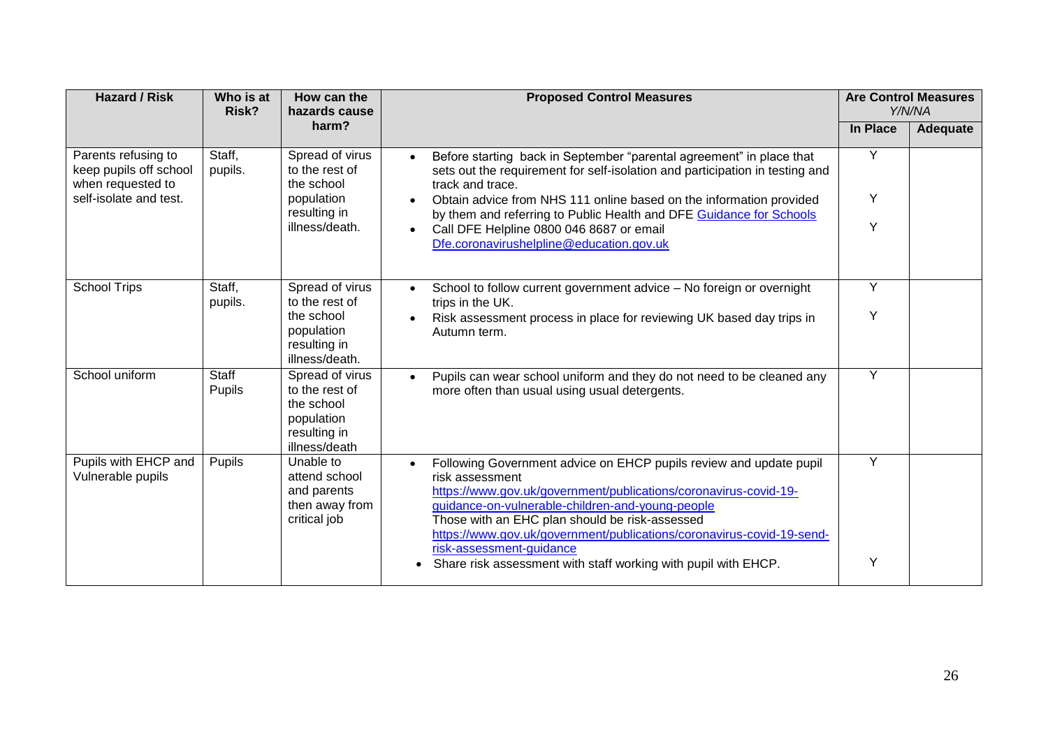| <b>Hazard / Risk</b>                                               | Who is at<br>Risk?     | How can the<br>hazards cause                                                                   | <b>Proposed Control Measures</b>                                                                                                                                                                                                                                                                                                                                                  |                | <b>Are Control Measures</b><br>Y/N/NA |
|--------------------------------------------------------------------|------------------------|------------------------------------------------------------------------------------------------|-----------------------------------------------------------------------------------------------------------------------------------------------------------------------------------------------------------------------------------------------------------------------------------------------------------------------------------------------------------------------------------|----------------|---------------------------------------|
|                                                                    |                        | harm?                                                                                          |                                                                                                                                                                                                                                                                                                                                                                                   | In Place       | Adequate                              |
| Parents refusing to<br>keep pupils off school<br>when requested to | Staff,<br>pupils.      | Spread of virus<br>to the rest of<br>the school                                                | Before starting back in September "parental agreement" in place that<br>$\bullet$<br>sets out the requirement for self-isolation and participation in testing and<br>track and trace.                                                                                                                                                                                             | Y              |                                       |
| self-isolate and test.                                             |                        | population<br>resulting in                                                                     | Obtain advice from NHS 111 online based on the information provided<br>$\bullet$<br>by them and referring to Public Health and DFE Guidance for Schools                                                                                                                                                                                                                           | Y              |                                       |
|                                                                    |                        | illness/death.                                                                                 | Call DFE Helpline 0800 046 8687 or email<br>$\bullet$<br>Dfe.coronavirushelpline@education.gov.uk                                                                                                                                                                                                                                                                                 | Y              |                                       |
| <b>School Trips</b>                                                | Staff,<br>pupils.      | Spread of virus<br>to the rest of                                                              | School to follow current government advice - No foreign or overnight<br>$\bullet$<br>trips in the UK.                                                                                                                                                                                                                                                                             | Y              |                                       |
|                                                                    |                        | the school<br>population<br>resulting in<br>illness/death.                                     | Risk assessment process in place for reviewing UK based day trips in<br>Autumn term.                                                                                                                                                                                                                                                                                              | Y              |                                       |
| School uniform                                                     | <b>Staff</b><br>Pupils | Spread of virus<br>to the rest of<br>the school<br>population<br>resulting in<br>illness/death | Pupils can wear school uniform and they do not need to be cleaned any<br>$\bullet$<br>more often than usual using usual detergents.                                                                                                                                                                                                                                               | $\overline{Y}$ |                                       |
| Pupils with EHCP and<br>Vulnerable pupils                          | Pupils                 | Unable to<br>attend school<br>and parents<br>then away from<br>critical job                    | Following Government advice on EHCP pupils review and update pupil<br>$\bullet$<br>risk assessment<br>https://www.gov.uk/government/publications/coronavirus-covid-19-<br>guidance-on-vulnerable-children-and-young-people<br>Those with an EHC plan should be risk-assessed<br>https://www.gov.uk/government/publications/coronavirus-covid-19-send-<br>risk-assessment-guidance | Y              |                                       |
|                                                                    |                        |                                                                                                | Share risk assessment with staff working with pupil with EHCP.                                                                                                                                                                                                                                                                                                                    | Υ              |                                       |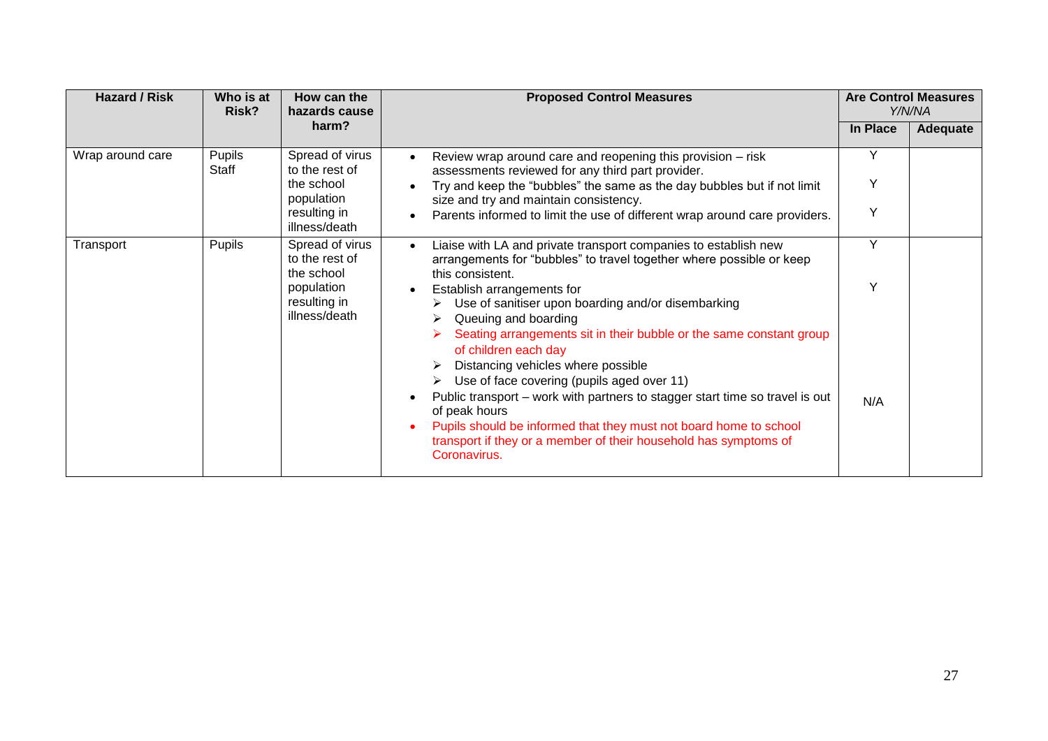| <b>Hazard / Risk</b><br>Who is at<br>How can the<br><b>Proposed Control Measures</b><br>Risk?<br>hazards cause |                 | <b>Are Control Measures</b><br>Y/N/NA           |                                                                                                                                                                                                                                                                                                                                                                                                                                                                                                                                                                                   |          |          |
|----------------------------------------------------------------------------------------------------------------|-----------------|-------------------------------------------------|-----------------------------------------------------------------------------------------------------------------------------------------------------------------------------------------------------------------------------------------------------------------------------------------------------------------------------------------------------------------------------------------------------------------------------------------------------------------------------------------------------------------------------------------------------------------------------------|----------|----------|
|                                                                                                                |                 | harm?                                           |                                                                                                                                                                                                                                                                                                                                                                                                                                                                                                                                                                                   | In Place | Adequate |
| Wrap around care                                                                                               | Pupils<br>Staff | Spread of virus<br>to the rest of               | Review wrap around care and reopening this provision – risk<br>$\bullet$<br>assessments reviewed for any third part provider.                                                                                                                                                                                                                                                                                                                                                                                                                                                     | Y        |          |
|                                                                                                                |                 | the school<br>population                        | Try and keep the "bubbles" the same as the day bubbles but if not limit<br>size and try and maintain consistency.                                                                                                                                                                                                                                                                                                                                                                                                                                                                 | Y        |          |
|                                                                                                                |                 | resulting in<br>illness/death                   | Parents informed to limit the use of different wrap around care providers.<br>$\bullet$                                                                                                                                                                                                                                                                                                                                                                                                                                                                                           | Y        |          |
| Transport                                                                                                      | <b>Pupils</b>   | Spread of virus<br>to the rest of<br>the school | Liaise with LA and private transport companies to establish new<br>$\bullet$<br>arrangements for "bubbles" to travel together where possible or keep<br>this consistent.                                                                                                                                                                                                                                                                                                                                                                                                          | Y        |          |
|                                                                                                                |                 | population<br>resulting in<br>illness/death     | Establish arrangements for<br>$\bullet$<br>Use of sanitiser upon boarding and/or disembarking<br>Queuing and boarding<br>Seating arrangements sit in their bubble or the same constant group<br>of children each day<br>Distancing vehicles where possible<br>Use of face covering (pupils aged over 11)<br>➤<br>Public transport – work with partners to stagger start time so travel is out<br>$\bullet$<br>of peak hours<br>Pupils should be informed that they must not board home to school<br>$\bullet$<br>transport if they or a member of their household has symptoms of | Υ<br>N/A |          |
|                                                                                                                |                 |                                                 | Coronavirus.                                                                                                                                                                                                                                                                                                                                                                                                                                                                                                                                                                      |          |          |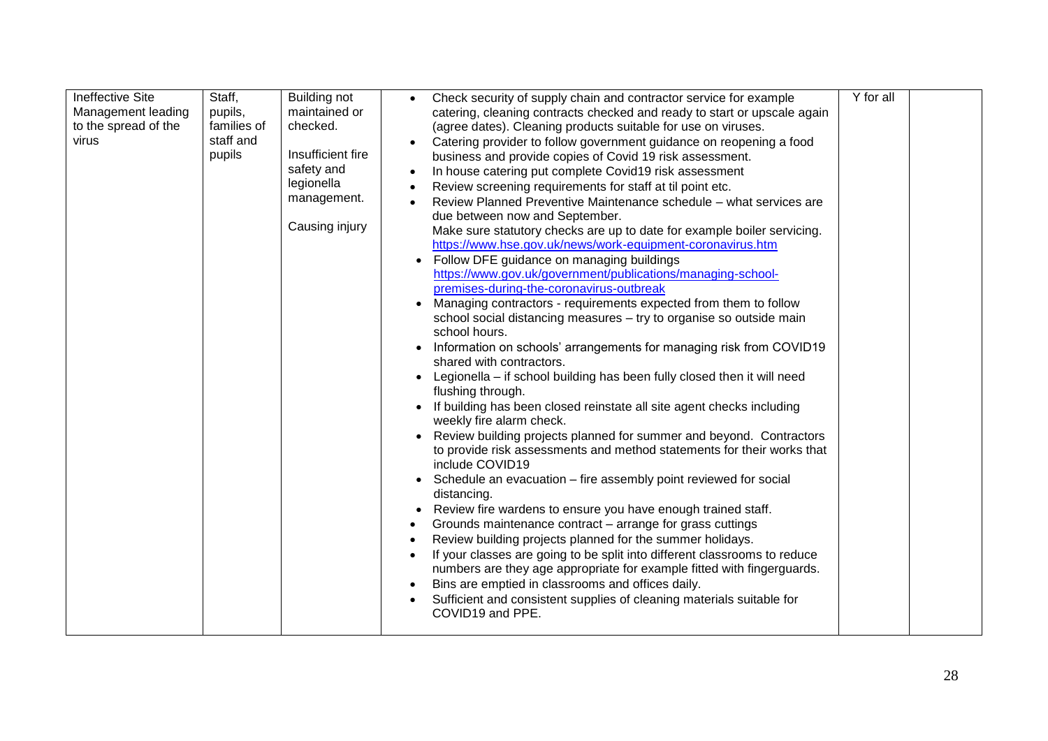| <b>Ineffective Site</b><br>Management leading<br>to the spread of the<br>virus | Staff,<br>pupils,<br>families of<br>staff and<br>pupils | <b>Building not</b><br>maintained or<br>checked.<br>Insufficient fire<br>safety and<br>legionella<br>management.<br>Causing injury | Check security of supply chain and contractor service for example<br>$\bullet$<br>catering, cleaning contracts checked and ready to start or upscale again<br>(agree dates). Cleaning products suitable for use on viruses.<br>Catering provider to follow government guidance on reopening a food<br>business and provide copies of Covid 19 risk assessment.<br>In house catering put complete Covid19 risk assessment<br>Review screening requirements for staff at til point etc.<br>Review Planned Preventive Maintenance schedule – what services are<br>due between now and September.<br>Make sure statutory checks are up to date for example boiler servicing.<br>https://www.hse.gov.uk/news/work-equipment-coronavirus.htm<br>Follow DFE guidance on managing buildings<br>https://www.gov.uk/government/publications/managing-school-<br>premises-during-the-coronavirus-outbreak<br>Managing contractors - requirements expected from them to follow<br>school social distancing measures - try to organise so outside main<br>school hours.<br>Information on schools' arrangements for managing risk from COVID19<br>shared with contractors.<br>Legionella - if school building has been fully closed then it will need<br>flushing through.<br>If building has been closed reinstate all site agent checks including<br>weekly fire alarm check.<br>Review building projects planned for summer and beyond. Contractors<br>to provide risk assessments and method statements for their works that<br>include COVID19<br>Schedule an evacuation – fire assembly point reviewed for social<br>distancing.<br>Review fire wardens to ensure you have enough trained staff.<br>Grounds maintenance contract – arrange for grass cuttings<br>Review building projects planned for the summer holidays.<br>If your classes are going to be split into different classrooms to reduce<br>numbers are they age appropriate for example fitted with fingerguards.<br>Bins are emptied in classrooms and offices daily.<br>Sufficient and consistent supplies of cleaning materials suitable for<br>COVID19 and PPE. | Y for all |  |
|--------------------------------------------------------------------------------|---------------------------------------------------------|------------------------------------------------------------------------------------------------------------------------------------|------------------------------------------------------------------------------------------------------------------------------------------------------------------------------------------------------------------------------------------------------------------------------------------------------------------------------------------------------------------------------------------------------------------------------------------------------------------------------------------------------------------------------------------------------------------------------------------------------------------------------------------------------------------------------------------------------------------------------------------------------------------------------------------------------------------------------------------------------------------------------------------------------------------------------------------------------------------------------------------------------------------------------------------------------------------------------------------------------------------------------------------------------------------------------------------------------------------------------------------------------------------------------------------------------------------------------------------------------------------------------------------------------------------------------------------------------------------------------------------------------------------------------------------------------------------------------------------------------------------------------------------------------------------------------------------------------------------------------------------------------------------------------------------------------------------------------------------------------------------------------------------------------------------------------------------------------------------------------------------------------------------------------------------------------------------------------------------------------------------------------|-----------|--|
|--------------------------------------------------------------------------------|---------------------------------------------------------|------------------------------------------------------------------------------------------------------------------------------------|------------------------------------------------------------------------------------------------------------------------------------------------------------------------------------------------------------------------------------------------------------------------------------------------------------------------------------------------------------------------------------------------------------------------------------------------------------------------------------------------------------------------------------------------------------------------------------------------------------------------------------------------------------------------------------------------------------------------------------------------------------------------------------------------------------------------------------------------------------------------------------------------------------------------------------------------------------------------------------------------------------------------------------------------------------------------------------------------------------------------------------------------------------------------------------------------------------------------------------------------------------------------------------------------------------------------------------------------------------------------------------------------------------------------------------------------------------------------------------------------------------------------------------------------------------------------------------------------------------------------------------------------------------------------------------------------------------------------------------------------------------------------------------------------------------------------------------------------------------------------------------------------------------------------------------------------------------------------------------------------------------------------------------------------------------------------------------------------------------------------------|-----------|--|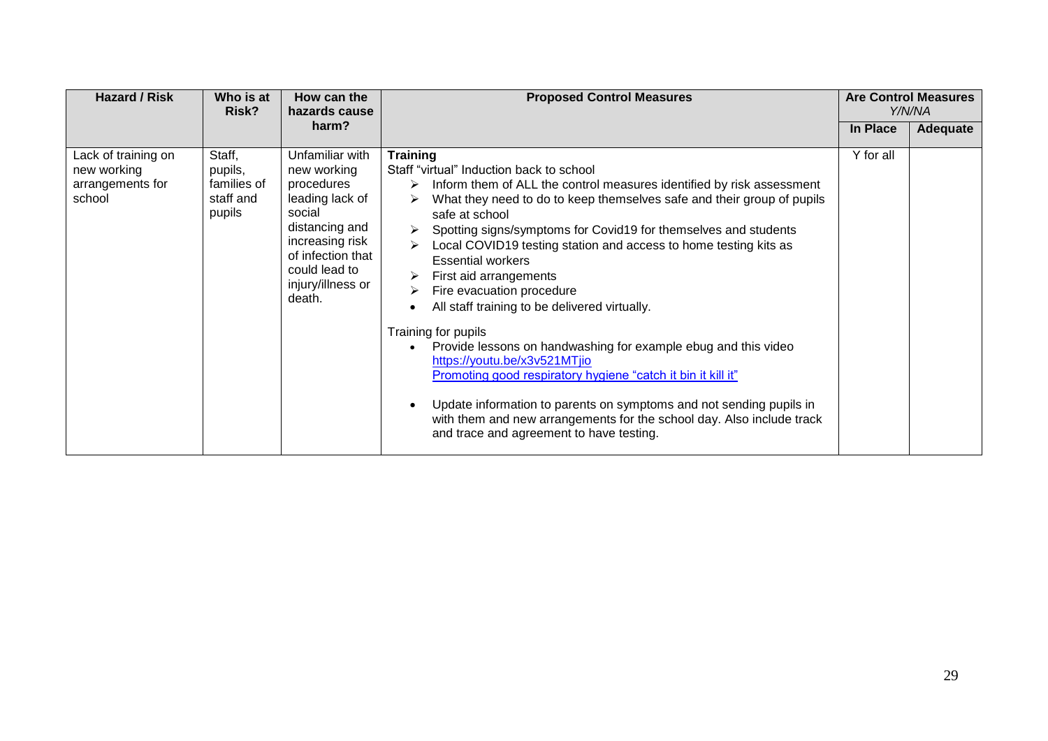| <b>Hazard / Risk</b>                                             | Who is at<br>Risk?                                      | How can the<br>hazards cause                                                                                                                                                        | <b>Proposed Control Measures</b>                                                                                                                                                                                                                                                                                                                                                                                                                                                                                                                                                                                                                                                                                                                                                                                                                                                                                                  |           | <b>Are Control Measures</b><br>Y/N/NA |
|------------------------------------------------------------------|---------------------------------------------------------|-------------------------------------------------------------------------------------------------------------------------------------------------------------------------------------|-----------------------------------------------------------------------------------------------------------------------------------------------------------------------------------------------------------------------------------------------------------------------------------------------------------------------------------------------------------------------------------------------------------------------------------------------------------------------------------------------------------------------------------------------------------------------------------------------------------------------------------------------------------------------------------------------------------------------------------------------------------------------------------------------------------------------------------------------------------------------------------------------------------------------------------|-----------|---------------------------------------|
|                                                                  |                                                         | harm?                                                                                                                                                                               |                                                                                                                                                                                                                                                                                                                                                                                                                                                                                                                                                                                                                                                                                                                                                                                                                                                                                                                                   | In Place  | Adequate                              |
| Lack of training on<br>new working<br>arrangements for<br>school | Staff,<br>pupils,<br>families of<br>staff and<br>pupils | Unfamiliar with<br>new working<br>procedures<br>leading lack of<br>social<br>distancing and<br>increasing risk<br>of infection that<br>could lead to<br>injury/illness or<br>death. | <b>Training</b><br>Staff "virtual" Induction back to school<br>Inform them of ALL the control measures identified by risk assessment<br>➤<br>What they need to do to keep themselves safe and their group of pupils<br>➤<br>safe at school<br>Spotting signs/symptoms for Covid19 for themselves and students<br>➤<br>Local COVID19 testing station and access to home testing kits as<br><b>Essential workers</b><br>First aid arrangements<br>➤<br>Fire evacuation procedure<br>All staff training to be delivered virtually.<br>Training for pupils<br>Provide lessons on handwashing for example ebug and this video<br>https://youtu.be/x3v521MTjio<br>Promoting good respiratory hygiene "catch it bin it kill it"<br>Update information to parents on symptoms and not sending pupils in<br>$\bullet$<br>with them and new arrangements for the school day. Also include track<br>and trace and agreement to have testing. | Y for all |                                       |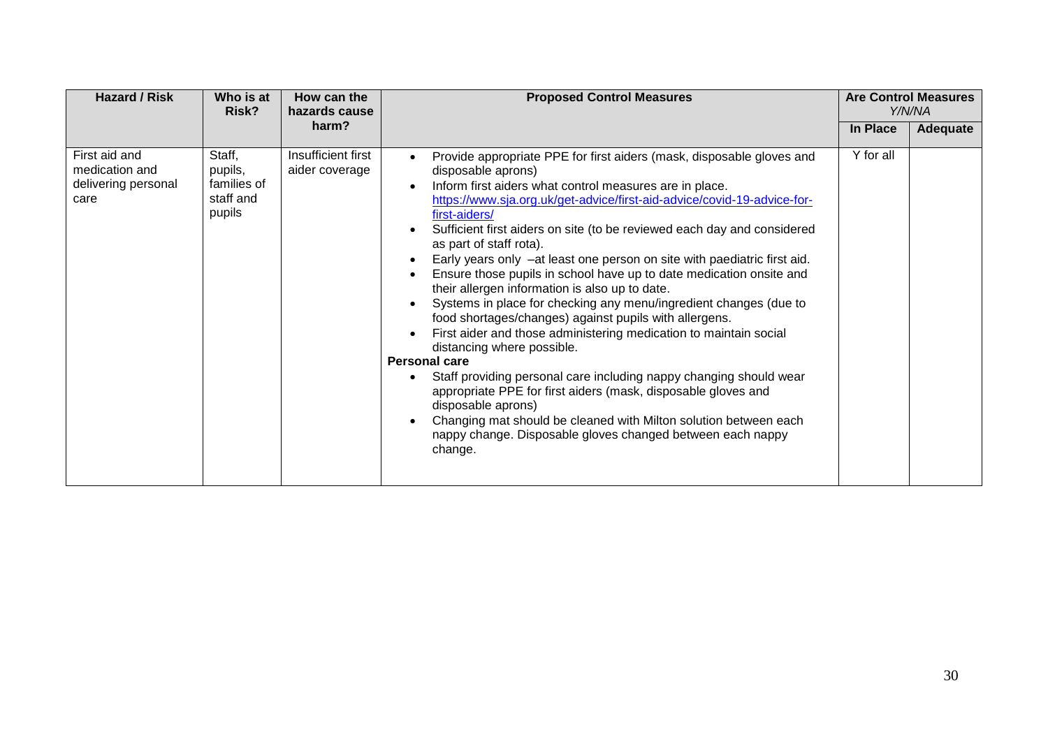| <b>Hazard / Risk</b>                                           | Who is at<br>Risk?                                      | How can the<br>hazards cause         | <b>Proposed Control Measures</b>                                                                                                                                                                                                                                                                                                                                                                                                                                                                                                                                                                                                                                                                                                                                                                                                                                                                                                                                                                                                                                                                                                                                              |           | <b>Are Control Measures</b><br>Y/N/NA |
|----------------------------------------------------------------|---------------------------------------------------------|--------------------------------------|-------------------------------------------------------------------------------------------------------------------------------------------------------------------------------------------------------------------------------------------------------------------------------------------------------------------------------------------------------------------------------------------------------------------------------------------------------------------------------------------------------------------------------------------------------------------------------------------------------------------------------------------------------------------------------------------------------------------------------------------------------------------------------------------------------------------------------------------------------------------------------------------------------------------------------------------------------------------------------------------------------------------------------------------------------------------------------------------------------------------------------------------------------------------------------|-----------|---------------------------------------|
|                                                                |                                                         | harm?                                |                                                                                                                                                                                                                                                                                                                                                                                                                                                                                                                                                                                                                                                                                                                                                                                                                                                                                                                                                                                                                                                                                                                                                                               | In Place  | Adequate                              |
| First aid and<br>medication and<br>delivering personal<br>care | Staff,<br>pupils,<br>families of<br>staff and<br>pupils | Insufficient first<br>aider coverage | Provide appropriate PPE for first aiders (mask, disposable gloves and<br>disposable aprons)<br>Inform first aiders what control measures are in place.<br>$\bullet$<br>https://www.sja.org.uk/get-advice/first-aid-advice/covid-19-advice-for-<br>first-aiders/<br>Sufficient first aiders on site (to be reviewed each day and considered<br>$\bullet$<br>as part of staff rota).<br>Early years only -at least one person on site with paediatric first aid.<br>Ensure those pupils in school have up to date medication onsite and<br>their allergen information is also up to date.<br>Systems in place for checking any menu/ingredient changes (due to<br>food shortages/changes) against pupils with allergens.<br>First aider and those administering medication to maintain social<br>distancing where possible.<br><b>Personal care</b><br>Staff providing personal care including nappy changing should wear<br>٠<br>appropriate PPE for first aiders (mask, disposable gloves and<br>disposable aprons)<br>Changing mat should be cleaned with Milton solution between each<br>$\bullet$<br>nappy change. Disposable gloves changed between each nappy<br>change. | Y for all |                                       |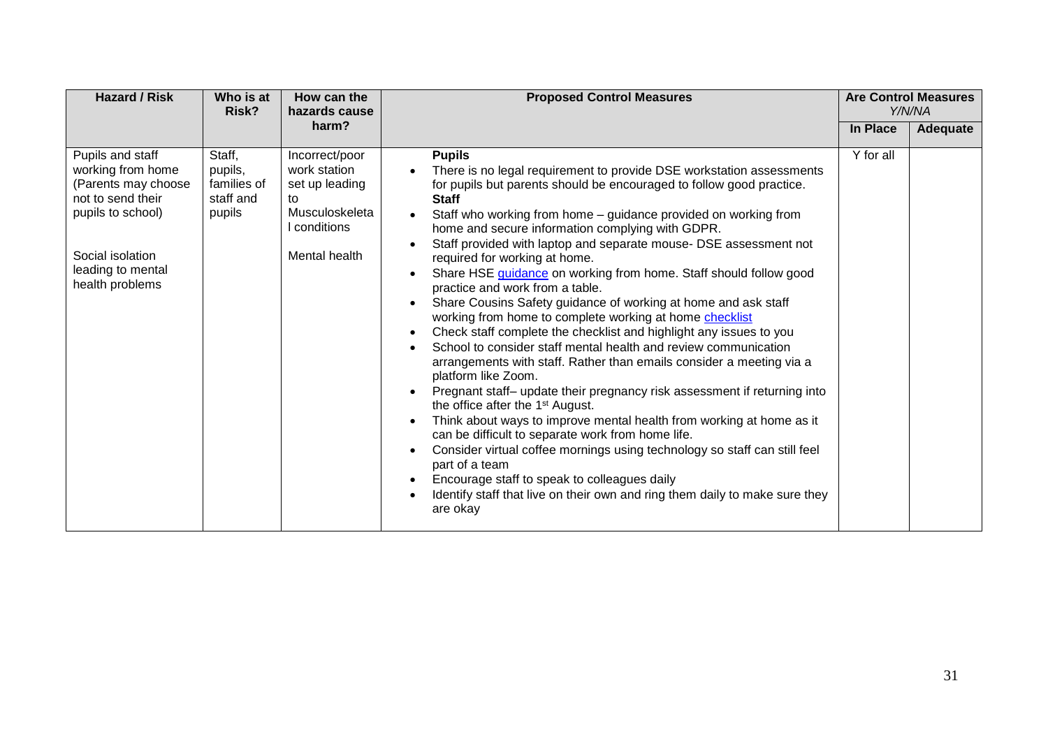| <b>Hazard / Risk</b>                                                                                                                                               | Who is at<br>Risk?                                      | How can the<br>hazards cause                                                                            | <b>Proposed Control Measures</b>                                                                                                                                                                                                                                                                                                                                                                                                                                                                                                                                                                                                                                                                                                                                                                                                                                                                                                                                                                                                                                                                                                                                                                                                                                                                                                                                                                                                                                                                   |           | <b>Are Control Measures</b><br>Y/N/NA |
|--------------------------------------------------------------------------------------------------------------------------------------------------------------------|---------------------------------------------------------|---------------------------------------------------------------------------------------------------------|----------------------------------------------------------------------------------------------------------------------------------------------------------------------------------------------------------------------------------------------------------------------------------------------------------------------------------------------------------------------------------------------------------------------------------------------------------------------------------------------------------------------------------------------------------------------------------------------------------------------------------------------------------------------------------------------------------------------------------------------------------------------------------------------------------------------------------------------------------------------------------------------------------------------------------------------------------------------------------------------------------------------------------------------------------------------------------------------------------------------------------------------------------------------------------------------------------------------------------------------------------------------------------------------------------------------------------------------------------------------------------------------------------------------------------------------------------------------------------------------------|-----------|---------------------------------------|
|                                                                                                                                                                    |                                                         | harm?                                                                                                   |                                                                                                                                                                                                                                                                                                                                                                                                                                                                                                                                                                                                                                                                                                                                                                                                                                                                                                                                                                                                                                                                                                                                                                                                                                                                                                                                                                                                                                                                                                    | In Place  | Adequate                              |
| Pupils and staff<br>working from home<br>(Parents may choose<br>not to send their<br>pupils to school)<br>Social isolation<br>leading to mental<br>health problems | Staff,<br>pupils,<br>families of<br>staff and<br>pupils | Incorrect/poor<br>work station<br>set up leading<br>to<br>Musculoskeleta<br>conditions<br>Mental health | <b>Pupils</b><br>There is no legal requirement to provide DSE workstation assessments<br>for pupils but parents should be encouraged to follow good practice.<br><b>Staff</b><br>Staff who working from home – guidance provided on working from<br>$\bullet$<br>home and secure information complying with GDPR.<br>Staff provided with laptop and separate mouse- DSE assessment not<br>$\bullet$<br>required for working at home.<br>Share HSE guidance on working from home. Staff should follow good<br>$\bullet$<br>practice and work from a table.<br>Share Cousins Safety guidance of working at home and ask staff<br>working from home to complete working at home checklist<br>Check staff complete the checklist and highlight any issues to you<br>$\bullet$<br>School to consider staff mental health and review communication<br>arrangements with staff. Rather than emails consider a meeting via a<br>platform like Zoom.<br>Pregnant staff- update their pregnancy risk assessment if returning into<br>$\bullet$<br>the office after the 1 <sup>st</sup> August.<br>Think about ways to improve mental health from working at home as it<br>$\bullet$<br>can be difficult to separate work from home life.<br>Consider virtual coffee mornings using technology so staff can still feel<br>$\bullet$<br>part of a team<br>Encourage staff to speak to colleagues daily<br>$\bullet$<br>Identify staff that live on their own and ring them daily to make sure they<br>are okay | Y for all |                                       |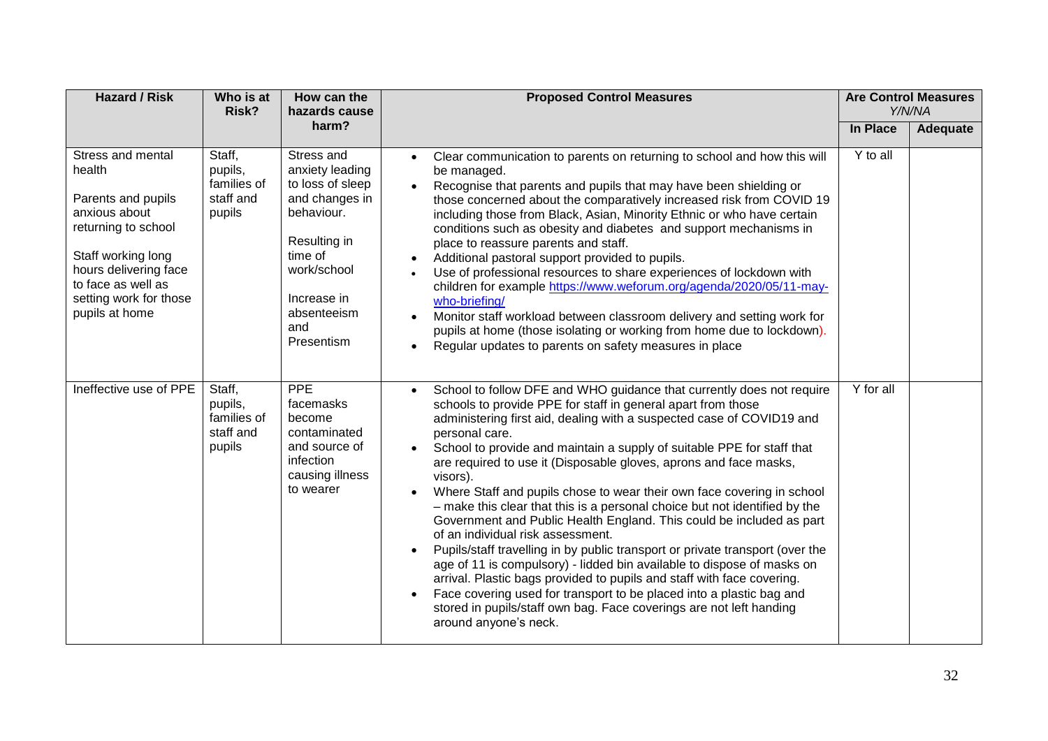| <b>Hazard / Risk</b>                                                                                                                                                                                       | Who is at<br>Risk?                                      | How can the<br>hazards cause                                                                                                                                                   | <b>Proposed Control Measures</b>                                                                                                                                                                                                                                                                                                                                                                                                                                                                                                                                                                                                                                                                                                                                                                                                                                                                                                                                                                                                                                                                        |           | <b>Are Control Measures</b><br>Y/N/NA |
|------------------------------------------------------------------------------------------------------------------------------------------------------------------------------------------------------------|---------------------------------------------------------|--------------------------------------------------------------------------------------------------------------------------------------------------------------------------------|---------------------------------------------------------------------------------------------------------------------------------------------------------------------------------------------------------------------------------------------------------------------------------------------------------------------------------------------------------------------------------------------------------------------------------------------------------------------------------------------------------------------------------------------------------------------------------------------------------------------------------------------------------------------------------------------------------------------------------------------------------------------------------------------------------------------------------------------------------------------------------------------------------------------------------------------------------------------------------------------------------------------------------------------------------------------------------------------------------|-----------|---------------------------------------|
|                                                                                                                                                                                                            |                                                         | harm?                                                                                                                                                                          |                                                                                                                                                                                                                                                                                                                                                                                                                                                                                                                                                                                                                                                                                                                                                                                                                                                                                                                                                                                                                                                                                                         | In Place  | Adequate                              |
| Stress and mental<br>health<br>Parents and pupils<br>anxious about<br>returning to school<br>Staff working long<br>hours delivering face<br>to face as well as<br>setting work for those<br>pupils at home | Staff,<br>pupils,<br>families of<br>staff and<br>pupils | Stress and<br>anxiety leading<br>to loss of sleep<br>and changes in<br>behaviour.<br>Resulting in<br>time of<br>work/school<br>Increase in<br>absenteeism<br>and<br>Presentism | Clear communication to parents on returning to school and how this will<br>be managed.<br>Recognise that parents and pupils that may have been shielding or<br>$\bullet$<br>those concerned about the comparatively increased risk from COVID 19<br>including those from Black, Asian, Minority Ethnic or who have certain<br>conditions such as obesity and diabetes and support mechanisms in<br>place to reassure parents and staff.<br>Additional pastoral support provided to pupils.<br>Use of professional resources to share experiences of lockdown with<br>children for example https://www.weforum.org/agenda/2020/05/11-may-<br>who-briefing/<br>Monitor staff workload between classroom delivery and setting work for<br>pupils at home (those isolating or working from home due to lockdown).<br>Regular updates to parents on safety measures in place<br>$\bullet$                                                                                                                                                                                                                    | Y to all  |                                       |
| Ineffective use of PPE                                                                                                                                                                                     | Staff,<br>pupils,<br>families of<br>staff and<br>pupils | PPE<br>facemasks<br>become<br>contaminated<br>and source of<br>infection<br>causing illness<br>to wearer                                                                       | School to follow DFE and WHO guidance that currently does not require<br>schools to provide PPE for staff in general apart from those<br>administering first aid, dealing with a suspected case of COVID19 and<br>personal care.<br>School to provide and maintain a supply of suitable PPE for staff that<br>are required to use it (Disposable gloves, aprons and face masks,<br>visors).<br>Where Staff and pupils chose to wear their own face covering in school<br>- make this clear that this is a personal choice but not identified by the<br>Government and Public Health England. This could be included as part<br>of an individual risk assessment.<br>Pupils/staff travelling in by public transport or private transport (over the<br>$\bullet$<br>age of 11 is compulsory) - lidded bin available to dispose of masks on<br>arrival. Plastic bags provided to pupils and staff with face covering.<br>Face covering used for transport to be placed into a plastic bag and<br>$\bullet$<br>stored in pupils/staff own bag. Face coverings are not left handing<br>around anyone's neck. | Y for all |                                       |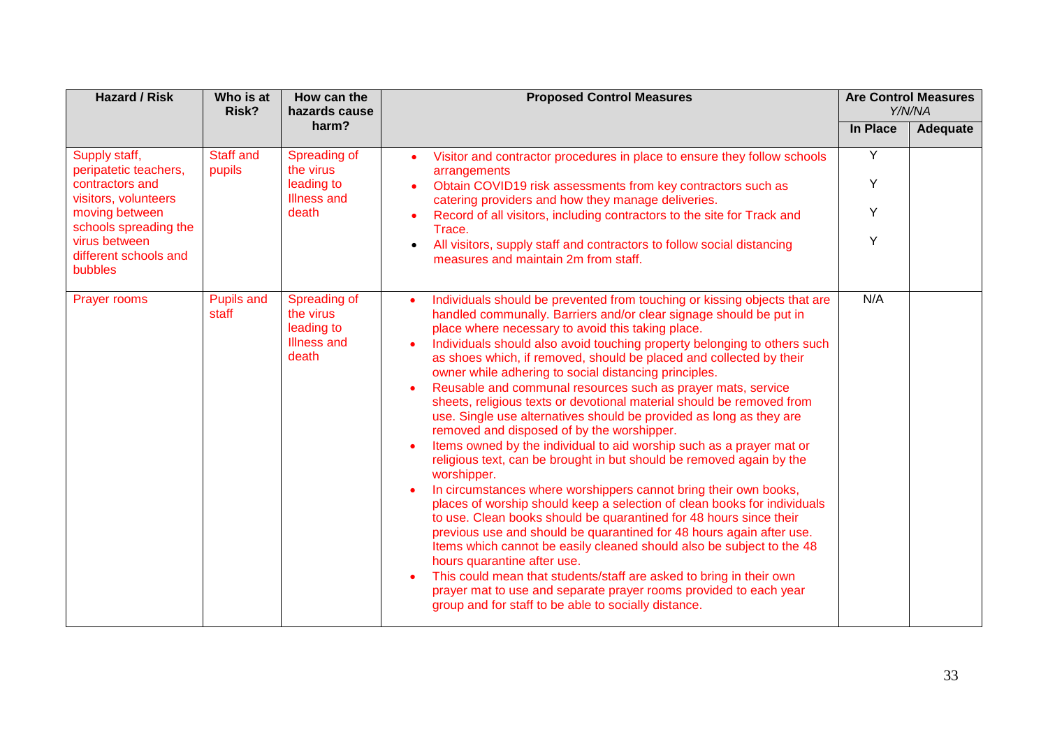| <b>Hazard / Risk</b>                                                                                                                                                              | Who is at<br>How can the<br>Risk?<br>hazards cause |                                                                        | <b>Proposed Control Measures</b>                                                                                                                                                                                                                                                                                                                                                                                                                                                                                                                                                                                                                                                                                                                                                                                                                                                                                                                                                                                                                                                                                                                                                                                                                                                                                                                                                                                                                                                                                                      |                  | <b>Are Control Measures</b><br>Y/N/NA |
|-----------------------------------------------------------------------------------------------------------------------------------------------------------------------------------|----------------------------------------------------|------------------------------------------------------------------------|---------------------------------------------------------------------------------------------------------------------------------------------------------------------------------------------------------------------------------------------------------------------------------------------------------------------------------------------------------------------------------------------------------------------------------------------------------------------------------------------------------------------------------------------------------------------------------------------------------------------------------------------------------------------------------------------------------------------------------------------------------------------------------------------------------------------------------------------------------------------------------------------------------------------------------------------------------------------------------------------------------------------------------------------------------------------------------------------------------------------------------------------------------------------------------------------------------------------------------------------------------------------------------------------------------------------------------------------------------------------------------------------------------------------------------------------------------------------------------------------------------------------------------------|------------------|---------------------------------------|
|                                                                                                                                                                                   |                                                    | harm?                                                                  |                                                                                                                                                                                                                                                                                                                                                                                                                                                                                                                                                                                                                                                                                                                                                                                                                                                                                                                                                                                                                                                                                                                                                                                                                                                                                                                                                                                                                                                                                                                                       | In Place         | Adequate                              |
| Supply staff,<br>peripatetic teachers,<br>contractors and<br>visitors, volunteers<br>moving between<br>schools spreading the<br>virus between<br>different schools and<br>bubbles | Staff and<br>pupils                                | Spreading of<br>the virus<br>leading to<br><b>Illness and</b><br>death | Visitor and contractor procedures in place to ensure they follow schools<br>$\bullet$<br>arrangements<br>Obtain COVID19 risk assessments from key contractors such as<br>catering providers and how they manage deliveries.<br>Record of all visitors, including contractors to the site for Track and<br>Trace.<br>All visitors, supply staff and contractors to follow social distancing<br>$\bullet$<br>measures and maintain 2m from staff.                                                                                                                                                                                                                                                                                                                                                                                                                                                                                                                                                                                                                                                                                                                                                                                                                                                                                                                                                                                                                                                                                       | Y<br>Y<br>Y<br>Y |                                       |
| <b>Prayer rooms</b>                                                                                                                                                               | <b>Pupils and</b><br>staff                         | Spreading of<br>the virus<br>leading to<br><b>Illness and</b><br>death | Individuals should be prevented from touching or kissing objects that are<br>$\bullet$<br>handled communally. Barriers and/or clear signage should be put in<br>place where necessary to avoid this taking place.<br>Individuals should also avoid touching property belonging to others such<br>$\bullet$<br>as shoes which, if removed, should be placed and collected by their<br>owner while adhering to social distancing principles.<br>Reusable and communal resources such as prayer mats, service<br>$\bullet$<br>sheets, religious texts or devotional material should be removed from<br>use. Single use alternatives should be provided as long as they are<br>removed and disposed of by the worshipper.<br>Items owned by the individual to aid worship such as a prayer mat or<br>$\bullet$<br>religious text, can be brought in but should be removed again by the<br>worshipper.<br>In circumstances where worshippers cannot bring their own books,<br>$\bullet$<br>places of worship should keep a selection of clean books for individuals<br>to use. Clean books should be quarantined for 48 hours since their<br>previous use and should be quarantined for 48 hours again after use.<br>Items which cannot be easily cleaned should also be subject to the 48<br>hours quarantine after use.<br>This could mean that students/staff are asked to bring in their own<br>$\bullet$<br>prayer mat to use and separate prayer rooms provided to each year<br>group and for staff to be able to socially distance. |                  |                                       |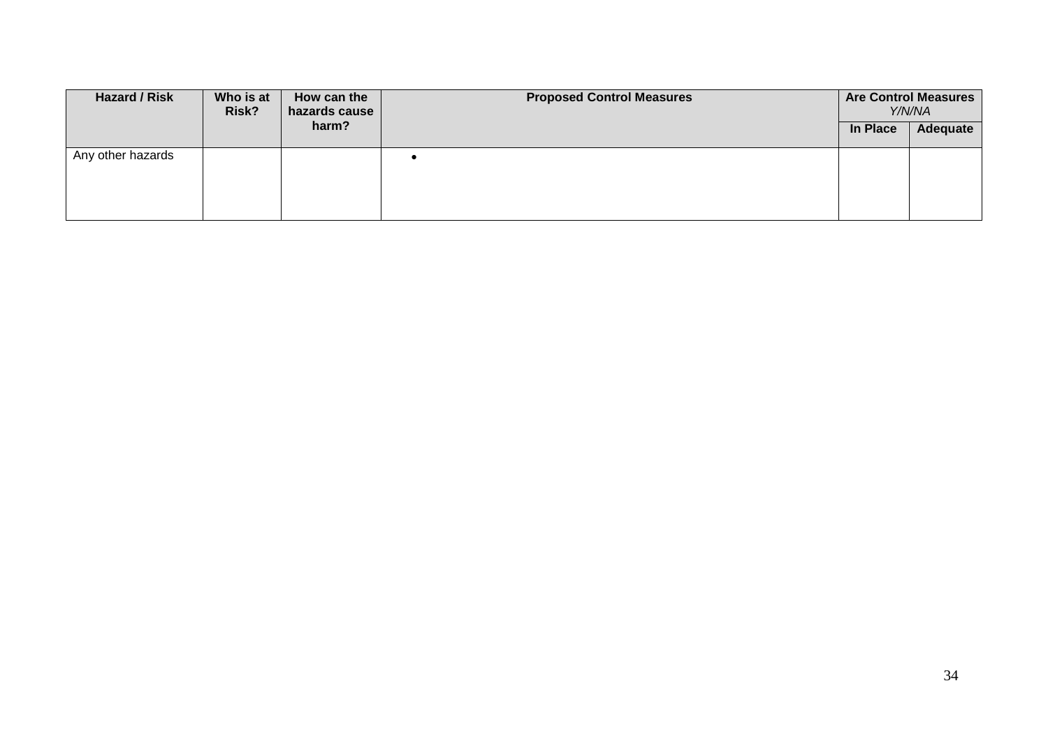| Hazard / Risk     | Who is at<br>Risk? | How can the<br>hazards cause | <b>Proposed Control Measures</b> |          | <b>Are Control Measures</b><br>Y/N/NA |
|-------------------|--------------------|------------------------------|----------------------------------|----------|---------------------------------------|
|                   |                    | harm?                        |                                  | In Place | Adequate                              |
| Any other hazards |                    |                              |                                  |          |                                       |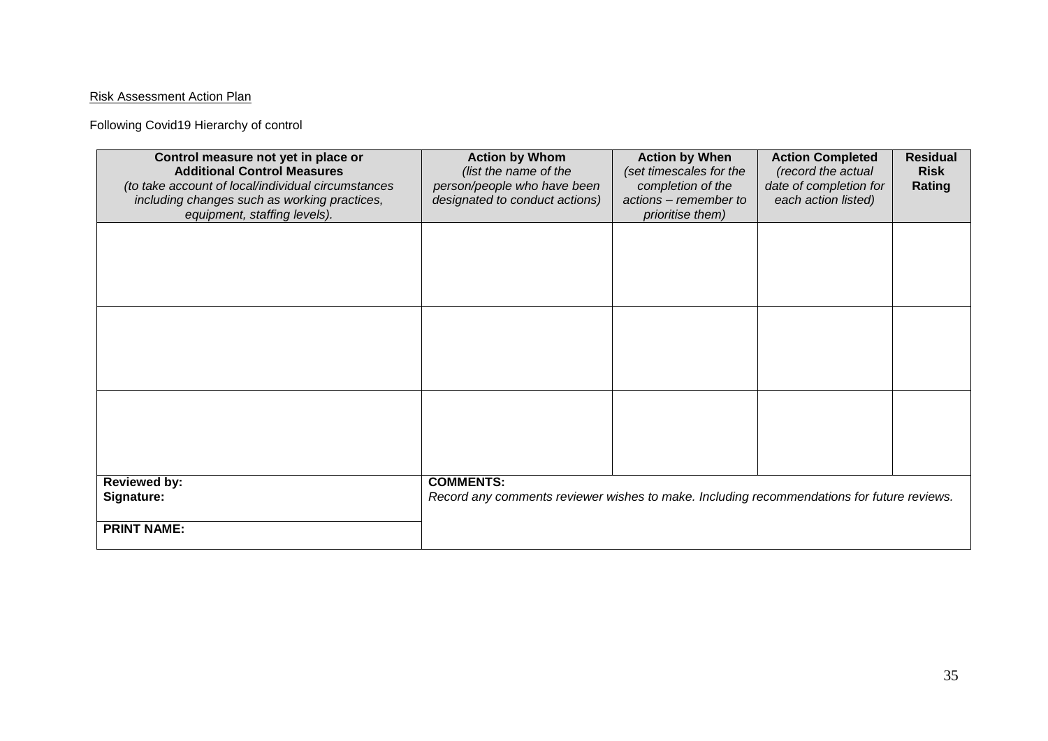## Risk Assessment Action Plan

Following Covid19 Hierarchy of control

| Control measure not yet in place or<br><b>Additional Control Measures</b><br>(to take account of local/individual circumstances<br>including changes such as working practices,<br>equipment, staffing levels). | <b>Action by Whom</b><br>(list the name of the<br>person/people who have been<br>designated to conduct actions) | <b>Action by When</b><br>(set timescales for the<br>completion of the<br>actions - remember to<br>prioritise them) | <b>Action Completed</b><br>(record the actual<br>date of completion for<br>each action listed) | <b>Residual</b><br><b>Risk</b><br>Rating |
|-----------------------------------------------------------------------------------------------------------------------------------------------------------------------------------------------------------------|-----------------------------------------------------------------------------------------------------------------|--------------------------------------------------------------------------------------------------------------------|------------------------------------------------------------------------------------------------|------------------------------------------|
|                                                                                                                                                                                                                 |                                                                                                                 |                                                                                                                    |                                                                                                |                                          |
|                                                                                                                                                                                                                 |                                                                                                                 |                                                                                                                    |                                                                                                |                                          |
|                                                                                                                                                                                                                 |                                                                                                                 |                                                                                                                    |                                                                                                |                                          |
| <b>Reviewed by:</b><br>Signature:<br><b>PRINT NAME:</b>                                                                                                                                                         | <b>COMMENTS:</b><br>Record any comments reviewer wishes to make. Including recommendations for future reviews.  |                                                                                                                    |                                                                                                |                                          |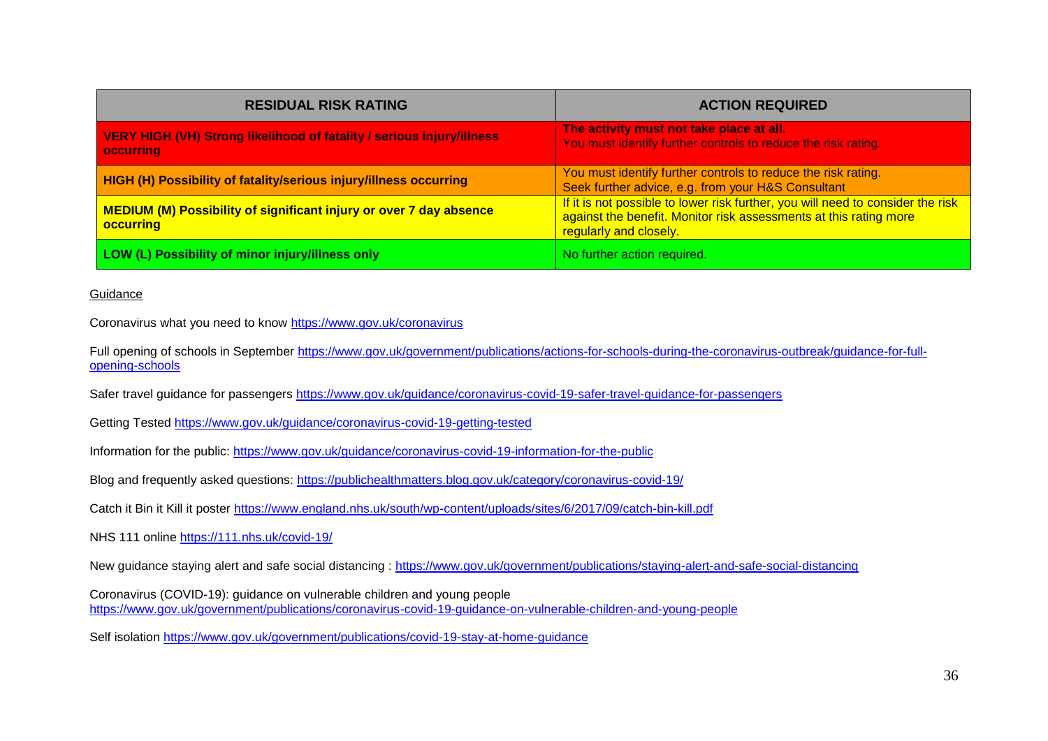| <b>RESIDUAL RISK RATING</b>                                                                      | <b>ACTION REQUIRED</b>                                                                                                                                                         |
|--------------------------------------------------------------------------------------------------|--------------------------------------------------------------------------------------------------------------------------------------------------------------------------------|
| <b>VERY HIGH (VH) Strong likelihood of fatality / serious injury/illness</b><br><b>occurring</b> | The activity must not take place at all.<br>You must identify further controls to reduce the risk rating.                                                                      |
| HIGH (H) Possibility of fatality/serious injury/illness occurring                                | You must identify further controls to reduce the risk rating.<br>Seek further advice, e.g. from your H&S Consultant                                                            |
| <b>MEDIUM (M) Possibility of significant injury or over 7 day absence</b><br><b>occurring</b>    | If it is not possible to lower risk further, you will need to consider the risk<br>against the benefit. Monitor risk assessments at this rating more<br>regularly and closely. |
| LOW (L) Possibility of minor injury/illness only                                                 | No further action required.                                                                                                                                                    |

## Guidance

Coronavirus what you need to know<https://www.gov.uk/coronavirus>

Full opening of schools in September [https://www.gov.uk/government/publications/actions-for-schools-during-the-coronavirus-outbreak/guidance-for-full](https://www.gov.uk/government/publications/actions-for-schools-during-the-coronavirus-outbreak/guidance-for-full-opening-schools)[opening-schools](https://www.gov.uk/government/publications/actions-for-schools-during-the-coronavirus-outbreak/guidance-for-full-opening-schools)

Safer travel guidance for passengers<https://www.gov.uk/guidance/coronavirus-covid-19-safer-travel-guidance-for-passengers>

Getting Tested<https://www.gov.uk/guidance/coronavirus-covid-19-getting-tested>

Information for the public:<https://www.gov.uk/guidance/coronavirus-covid-19-information-for-the-public>

Blog and frequently asked questions:<https://publichealthmatters.blog.gov.uk/category/coronavirus-covid-19/>

Catch it Bin it Kill it poster<https://www.england.nhs.uk/south/wp-content/uploads/sites/6/2017/09/catch-bin-kill.pdf>

NHS 111 online<https://111.nhs.uk/covid-19/>

New guidance staying alert and safe social distancing :<https://www.gov.uk/government/publications/staying-alert-and-safe-social-distancing>

Coronavirus (COVID-19): guidance on vulnerable children and young people <https://www.gov.uk/government/publications/coronavirus-covid-19-guidance-on-vulnerable-children-and-young-people>

Self isolation<https://www.gov.uk/government/publications/covid-19-stay-at-home-guidance>